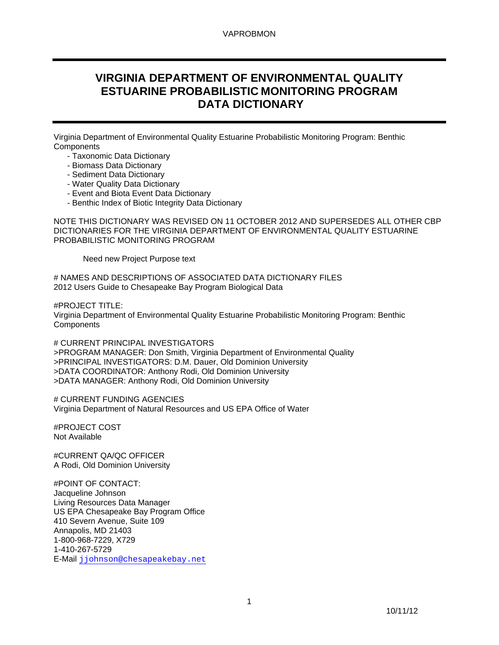# **VIRGINIA DEPARTMENT OF ENVIRONMENTAL QUALITY ESTUARINE PROBABILISTIC MONITORING PROGRAM DATA DICTIONARY**

Virginia Department of Environmental Quality Estuarine Probabilistic Monitoring Program: Benthic **Components** 

- Taxonomic Data Dictionary
- Biomass Data Dictionary
- Sediment Data Dictionary
- Water Quality Data Dictionary
- Event and Biota Event Data Dictionary
- Benthic Index of Biotic Integrity Data Dictionary

NOTE THIS DICTIONARY WAS REVISED ON 11 OCTOBER 2012 AND SUPERSEDES ALL OTHER CBP DICTIONARIES FOR THE VIRGINIA DEPARTMENT OF ENVIRONMENTAL QUALITY ESTUARINE PROBABILISTIC MONITORING PROGRAM

Need new Project Purpose text

# NAMES AND DESCRIPTIONS OF ASSOCIATED DATA DICTIONARY FILES 2012 Users Guide to Chesapeake Bay Program Biological Data

#PROJECT TITLE:

Virginia Department of Environmental Quality Estuarine Probabilistic Monitoring Program: Benthic **Components** 

# CURRENT PRINCIPAL INVESTIGATORS >PROGRAM MANAGER: Don Smith, Virginia Department of Environmental Quality >PRINCIPAL INVESTIGATORS: D.M. Dauer, Old Dominion University >DATA COORDINATOR: Anthony Rodi, Old Dominion University >DATA MANAGER: Anthony Rodi, Old Dominion University

# CURRENT FUNDING AGENCIES Virginia Department of Natural Resources and US EPA Office of Water

#PROJECT COST Not Available

#CURRENT QA/QC OFFICER A Rodi, Old Dominion University

#POINT OF CONTACT: Jacqueline Johnson Living Resources Data Manager US EPA Chesapeake Bay Program Office 410 Severn Avenue, Suite 109 Annapolis, MD 21403 1-800-968-7229, X729 1-410-267-5729 E-Mail jjohnson@chesapeakebay.net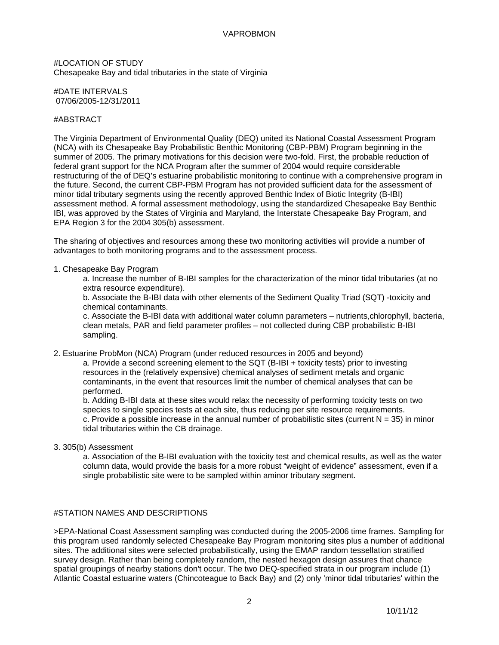#LOCATION OF STUDY Chesapeake Bay and tidal tributaries in the state of Virginia

#DATE INTERVALS 07/06/2005-12/31/2011

#### #ABSTRACT

The Virginia Department of Environmental Quality (DEQ) united its National Coastal Assessment Program (NCA) with its Chesapeake Bay Probabilistic Benthic Monitoring (CBP-PBM) Program beginning in the summer of 2005. The primary motivations for this decision were two-fold. First, the probable reduction of federal grant support for the NCA Program after the summer of 2004 would require considerable restructuring of the of DEQ's estuarine probabilistic monitoring to continue with a comprehensive program in the future. Second, the current CBP-PBM Program has not provided sufficient data for the assessment of minor tidal tributary segments using the recently approved Benthic Index of Biotic Integrity (B-IBI) assessment method. A formal assessment methodology, using the standardized Chesapeake Bay Benthic IBI, was approved by the States of Virginia and Maryland, the Interstate Chesapeake Bay Program, and EPA Region 3 for the 2004 305(b) assessment.

The sharing of objectives and resources among these two monitoring activities will provide a number of advantages to both monitoring programs and to the assessment process.

#### 1. Chesapeake Bay Program

a. Increase the number of B-IBI samples for the characterization of the minor tidal tributaries (at no extra resource expenditure).

b. Associate the B-IBI data with other elements of the Sediment Quality Triad (SQT) -toxicity and chemical contaminants.

c. Associate the B-IBI data with additional water column parameters – nutrients,chlorophyll, bacteria, clean metals, PAR and field parameter profiles – not collected during CBP probabilistic B-IBI sampling.

2. Estuarine ProbMon (NCA) Program (under reduced resources in 2005 and beyond)

a. Provide a second screening element to the SQT (B-IBI + toxicity tests) prior to investing resources in the (relatively expensive) chemical analyses of sediment metals and organic contaminants, in the event that resources limit the number of chemical analyses that can be performed.

b. Adding B-IBI data at these sites would relax the necessity of performing toxicity tests on two species to single species tests at each site, thus reducing per site resource requirements. c. Provide a possible increase in the annual number of probabilistic sites (current  $N = 35$ ) in minor tidal tributaries within the CB drainage.

3. 305(b) Assessment

a. Association of the B-IBI evaluation with the toxicity test and chemical results, as well as the water column data, would provide the basis for a more robust "weight of evidence" assessment, even if a single probabilistic site were to be sampled within aminor tributary segment.

### #STATION NAMES AND DESCRIPTIONS

>EPA-National Coast Assessment sampling was conducted during the 2005-2006 time frames. Sampling for this program used randomly selected Chesapeake Bay Program monitoring sites plus a number of additional sites. The additional sites were selected probabilistically, using the EMAP random tessellation stratified survey design. Rather than being completely random, the nested hexagon design assures that chance spatial groupings of nearby stations don't occur. The two DEQ-specified strata in our program include (1) Atlantic Coastal estuarine waters (Chincoteague to Back Bay) and (2) only 'minor tidal tributaries' within the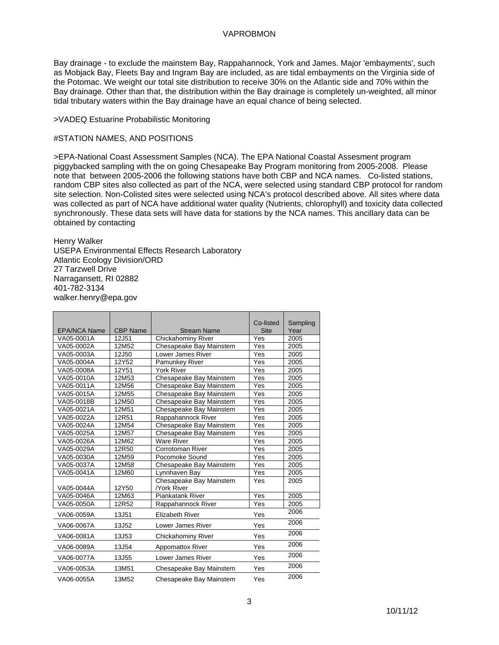Bay drainage - to exclude the mainstem Bay, Rappahannock, York and James. Major 'embayments', such as Mobjack Bay, Fleets Bay and Ingram Bay are included, as are tidal embayments on the Virginia side of the Potomac. We weight our total site distribution to receive 30% on the Atlantic side and 70% within the Bay drainage. Other than that, the distribution within the Bay drainage is completely un-weighted, all minor tidal tributary waters within the Bay drainage have an equal chance of being selected.

#### >VADEQ Estuarine Probabilistic Monitoring

#### #STATION NAMES, AND POSITIONS

>EPA-National Coast Assessment Samples (NCA). The EPA National Coastal Assesment program piggybacked sampling with the on going Chesapeake Bay Program monitoring from 2005-2008. Please note that between 2005-2006 the following stations have both CBP and NCA names. Co-listed stations, random CBP sites also collected as part of the NCA, were selected using standard CBP protocol for random site selection. Non-Colisted sites were selected using NCA's protocol described above. All sites where data was collected as part of NCA have additional water quality (Nutrients, chlorophyll) and toxicity data collected synchronously. These data sets will have data for stations by the NCA names. This ancillary data can be obtained by contacting

Henry Walker

USEPA Environmental Effects Research Laboratory Atlantic Ecology Division/ORD 27 Tarzwell Drive Narragansett, RI 02882 401-782-3134 walker.henry@epa.gov

|                     |                 |                         | Co-listed   | Sampling |
|---------------------|-----------------|-------------------------|-------------|----------|
| <b>EPA/NCA Name</b> | <b>CBP Name</b> | <b>Stream Name</b>      | <b>Site</b> | Year     |
| VA05-0001A          | 12J51           | Chickahominy River      | Yes         | 2005     |
| VA05-0002A          | 12M52           | Chesapeake Bay Mainstem | Yes         | 2005     |
| VA05-0003A          | 12J50           | Lower James River       | Yes         | 2005     |
| VA05-0004A          | 12Y52           | Pamunkey River          | Yes         | 2005     |
| VA05-0008A          | 12Y51           | York River              | Yes         | 2005     |
| VA05-0010A          | 12M53           | Chesapeake Bay Mainstem | Yes         | 2005     |
| VA05-0011A          | 12M56           | Chesapeake Bay Mainstem | Yes         | 2005     |
| VA05-0015A          | 12M55           | Chesapeake Bay Mainstem | Yes         | 2005     |
| VA05-0018B          | 12M50           | Chesapeake Bay Mainstem | Yes         | 2005     |
| VA05-0021A          | 12M51           | Chesapeake Bay Mainstem | Yes         | 2005     |
| VA05-0022A          | 12R51           | Rappahannock River      | Yes         | 2005     |
| VA05-0024A          | 12M54           | Chesapeake Bay Mainstem | Yes         | 2005     |
| VA05-0025A          | 12M57           | Chesapeake Bay Mainstem | Yes         | 2005     |
| VA05-0026A          | 12M62           | <b>Ware River</b>       | Yes         | 2005     |
| VA05-0029A          | 12R50           | <b>Corrotoman River</b> | Yes         | 2005     |
| VA05-0030A          | 12M59           | Pocomoke Sound          | Yes         | 2005     |
| VA05-0037A          | 12M58           | Chesapeake Bay Mainstem | Yes         | 2005     |
| VA05-0041A          | 12M60           | Lynnhaven Bay           | Yes         | 2005     |
|                     |                 | Chesapeake Bay Mainstem | Yes         | 2005     |
| VA05-0044A          | 12Y50           | <b>York River</b>       |             |          |
| VA05-0046A          | 12M63           | Piankatank River        | Yes         | 2005     |
| VA05-0050A          | 12R52           | Rappahannock River      | Yes         | 2005     |
| VA06-0059A          | 13J51           | <b>Elizabeth River</b>  | Yes         | 2006     |
| VA06-0067A          | 13J52           | Lower James River       | Yes         | 2006     |
| VA06-0081A          | 13J53           | Chickahominy River      | Yes         | 2006     |
| VA06-0089A          | 13J54           | <b>Appomattox River</b> | Yes         | 2006     |
| VA06-0077A          | 13J55           | Lower James River       | Yes         | 2006     |
| VA06-0053A          | 13M51           | Chesapeake Bay Mainstem | Yes         | 2006     |
| VA06-0055A          | 13M52           | Chesapeake Bay Mainstem | Yes         | 2006     |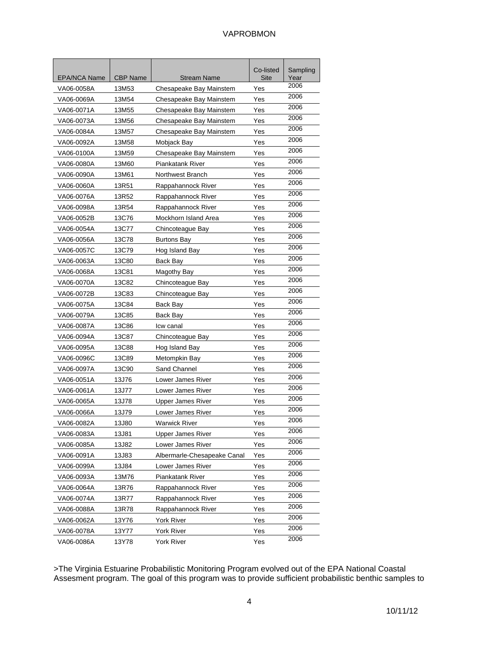| <b>EPA/NCA Name</b> | <b>CBP Name</b> | <b>Stream Name</b>          | Co-listed<br>Site | Sampling<br>Year |
|---------------------|-----------------|-----------------------------|-------------------|------------------|
| VA06-0058A          | 13M53           | Chesapeake Bay Mainstem     | Yes               | 2006             |
| VA06-0069A          | 13M54           | Chesapeake Bay Mainstem     | Yes               | 2006             |
| VA06-0071A          | 13M55           | Chesapeake Bay Mainstem     | Yes               | 2006             |
| VA06-0073A          | 13M56           | Chesapeake Bay Mainstem     | Yes               | 2006             |
| VA06-0084A          | 13M57           | Chesapeake Bay Mainstem     | Yes               | 2006             |
| VA06-0092A          | 13M58           | Mobjack Bay                 | Yes               | 2006             |
| VA06-0100A          | 13M59           | Chesapeake Bay Mainstem     | Yes               | 2006             |
| VA06-0080A          | 13M60           | <b>Piankatank River</b>     | Yes               | 2006             |
| VA06-0090A          | 13M61           | Northwest Branch            | Yes               | 2006             |
| VA06-0060A          | 13R51           | Rappahannock River          | Yes               | 2006             |
| VA06-0076A          | 13R52           | Rappahannock River          | Yes               | 2006             |
| VA06-0098A          | 13R54           | Rappahannock River          | Yes               | 2006             |
| VA06-0052B          | 13C76           | Mockhorn Island Area        | Yes               | 2006             |
| VA06-0054A          | 13C77           | Chincoteague Bay            | Yes               | 2006             |
| VA06-0056A          | 13C78           | <b>Burtons Bay</b>          | Yes               | 2006             |
| VA06-0057C          | 13C79           | Hog Island Bay              | Yes               | 2006             |
| VA06-0063A          | 13C80           | Back Bay                    | Yes               | 2006             |
| VA06-0068A          | 13C81           | Magothy Bay                 | Yes               | 2006             |
| VA06-0070A          | 13C82           | Chincoteague Bay            | Yes               | 2006             |
| VA06-0072B          | 13C83           | Chincoteague Bay            | Yes               | 2006             |
| VA06-0075A          | 13C84           | Back Bay                    | Yes               | 2006             |
| VA06-0079A          | 13C85           | Back Bay                    | Yes               | 2006             |
| VA06-0087A          | 13C86           | Icw canal                   | Yes               | 2006             |
| VA06-0094A          | 13C87           | Chincoteague Bay            | Yes               | 2006             |
| VA06-0095A          | 13C88           | Hog Island Bay              | Yes               | 2006             |
| VA06-0096C          | 13C89           | Metompkin Bay               | Yes               | 2006             |
| VA06-0097A          | 13C90           | Sand Channel                | Yes               | 2006             |
| VA06-0051A          | 13J76           | Lower James River           | Yes               | 2006             |
| VA06-0061A          | 13J77           | Lower James River           | Yes               | 2006             |
| VA06-0065A          | 13J78           | Upper James River           | Yes               | 2006             |
| VA06-0066A          | 13J79           | Lower James River           | Yes               | 2006             |
| VA06-0082A          | 13J80           | Warwick River               | Yes               | 2006             |
| VA06-0083A          | 13J81           | Upper James River           | Yes               | 2006             |
| VA06-0085A          | 13J82           | Lower James River           | Yes               | 2006             |
| VA06-0091A          | 13J83           | Albermarle-Chesapeake Canal | Yes               | 2006             |
| VA06-0099A          | 13J84           | Lower James River           | Yes               | 2006             |
| VA06-0093A          | 13M76           | Piankatank River            | Yes               | 2006             |
| VA06-0064A          | 13R76           | Rappahannock River<br>Yes   |                   | 2006             |
| VA06-0074A          | 13R77           | Rappahannock River          | Yes               | 2006             |
| VA06-0088A          | 13R78           | Rappahannock River          | Yes               | 2006             |
| VA06-0062A          | 13Y76           | York River                  | Yes               | 2006             |
| VA06-0078A          | 13Y77           | <b>York River</b>           | Yes               | 2006             |
| VA06-0086A          | 13Y78           | York River                  | Yes               | 2006             |

>The Virginia Estuarine Probabilistic Monitoring Program evolved out of the EPA National Coastal Assesment program. The goal of this program was to provide sufficient probabilistic benthic samples to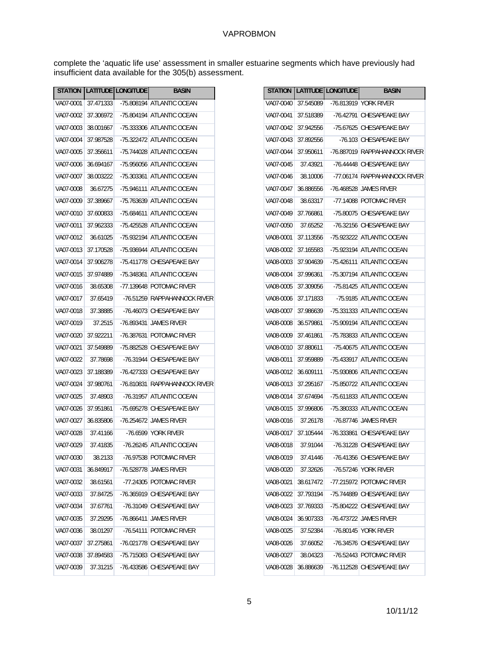complete the 'aquatic life use' assessment in smaller estuarine segments which have previously had insufficient data available for the 305(b) assessment.

|           | <b>STATION</b> |           | LATITUDE LONGITUDE | <b>BASIN</b>                  |
|-----------|----------------|-----------|--------------------|-------------------------------|
|           | VA07-0001      | 37.471333 |                    | -75.808194 ATLANTIC OCEAN     |
|           | VA07-0002      | 37.306972 |                    | -75.804194 ATLANTIC OCEAN     |
|           | VA07-0003      | 38.001667 |                    | -75.333306 ATLANTIC OCEAN     |
|           | VA07-0004      | 37.987528 |                    | -75.322472 ATLANTIC OCEAN     |
|           | VA07-0005      | 37.356611 |                    | -75.744028 ATLANTIC OCEAN     |
|           | VA07-0006      | 36.694167 |                    | -75.956056 ATLANTIC OCEAN     |
|           | VA07-0007      | 38.003222 |                    | -75.303361 ATLANTIC OCEAN     |
|           | VA07-0008      | 36.67275  |                    | -75.946111 ATLANTIC OCEAN     |
|           | VA07-0009      | 37.389667 |                    | -75.763639 ATLANTIC OCEAN     |
|           | VA07-0010      | 37.600833 |                    | -75.684611 ATLANTIC OCEAN     |
|           | VA07-0011      | 37.962333 |                    | -75.425528 ATLANTIC OCEAN     |
|           | VA07-0012      | 36.61025  |                    | -75.932194 ATLANTIC OCEAN     |
|           | VA07-0013      | 37.170528 |                    | -75.936944 ATLANTIC OCEAN     |
|           | VA07-0014      | 37.906278 |                    | -75.411778 CHESAPEAKE BAY     |
|           | VA07-0015      | 37.974889 |                    | -75.348361 ATLANTIC OCEAN     |
|           | VA07-0016      | 38.65308  |                    | -77.139648 POTOMAC RIVER      |
|           | VA07-0017      | 37.65419  |                    | -76.51259 RAPPAHANNOCK RIVER  |
|           |                |           |                    |                               |
|           | VA07-0018      | 37.38885  |                    | -76.46073 CHESAPEAKE BAY      |
|           | VA07-0019      | 37.2515   |                    | -76.893431 JAMES RIVER        |
|           | VA07-0020      | 37.922211 |                    | -76.387631 POTOMAC RIVER      |
|           | VA07-0021      | 37.549889 |                    | -75.882528 CHESAPEAKE BAY     |
| VA07-0022 |                | 37.78698  |                    | -76.31944 CHESAPEAKE BAY      |
| VA07-0023 |                | 37.188389 |                    | -76.427333 CHESAPEAKE BAY     |
|           | VA07-0024      | 37.980761 |                    | -76.810831 RAPPAHANNOCK RIVER |
|           | VA07-0025      | 37.48903  |                    | -76.31957 ATLANTIC OCEAN      |
|           | VA07-0026      | 37.951861 |                    | -75.695278 CHESAPEAKE BAY     |
|           | VA07-0027      | 36.835806 |                    | -76.254672 JAMES RIVER        |
|           | VA07-0028      | 37.41166  |                    | -76.6599 YORK RIVER           |
|           | VA07-0029      | 37.41835  |                    | -76.26245 ATLANTIC OCEAN      |
|           | VA07-0030      | 38.2133   |                    | -76.97538 POTOMAC RIVER       |
|           | VA07-0031      | 36.849917 |                    | -76.528778 JAMES RIVER        |
|           | VA07-0032      | 38.61561  |                    | -77.24305 POTOMAC RIVER       |
|           | VA07-0033      | 37.84725  |                    | -76.365919 CHESAPEAKE BAY     |
|           | VA07-0034      | 37.67761  |                    | -76.31049 CHESAPEAKE BAY      |
|           | VA07-0035      | 37.29295  |                    | -76.866411 JAMES RIVER        |
|           | VA07-0036      | 38.01297  |                    | -76.54111 POTOMAC RIVER       |
|           | VA07-0037      | 37.275861 |                    | -76.021778 CHESAPEAKE BAY     |
|           | VA07-0038      | 37.894583 |                    | -75.715083 CHESAPEAKE BAY     |
|           | VA07-0039      | 37.31215  |                    | -76.433586 CHESAPEAKE BAY     |
|           |                |           |                    |                               |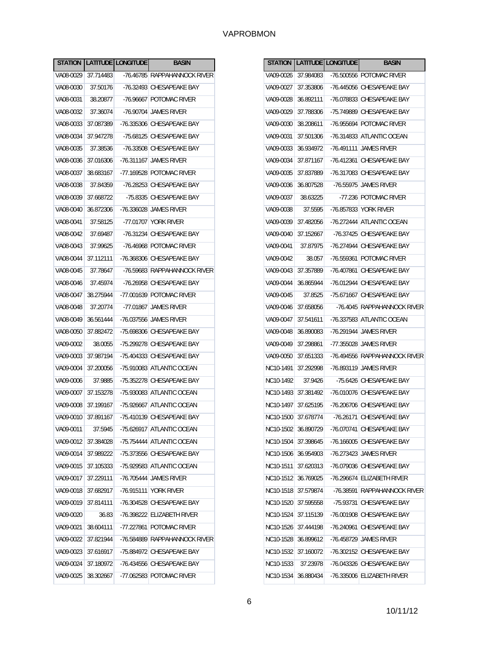| <b>STATION</b> |                       | LATITUDE LONGITUDE | <b>BASIN</b>                                     |
|----------------|-----------------------|--------------------|--------------------------------------------------|
|                | VA08-0029   37.714483 |                    | -76.46785 RAPPAHANNOCK RIVER                     |
|                | VA08-0030 37.50176    |                    | -76.32493 CHESAPEAKE BAY                         |
|                |                       |                    | VA08-0031   38.20877   -76.96667   POTOMAC RIVER |
| VA08-0032      | 37.36074              |                    | -76.90704   JAMES RIVER                          |
| VA08-0033      |                       |                    | 37.087389 -76.335306 CHESAPEAKE BAY              |
| VA08-0034      | 37.947278             |                    | -75.68125   CHESAPEAKE BAY                       |
| VA08-0035      | 37.38536              |                    | -76.33508 CHESAPEAKE BAY                         |
| VA08-0036      | 37.016306             |                    | -76.311167 JAMES RIVER                           |
| VA08-0037      | 38.683167             |                    | -77.169528 POTOMAC RIVER                         |
| VA08-0038      | 37.84359              |                    | -76.28253   CHESAPEAKE BAY                       |
| VA08-0039      | 37.668722             |                    | -75.8335 CHESAPEAKE BAY                          |
| VA08-0040      | 36.872306             |                    | -76.336028 JAMES RIVER                           |
| VA08-0041      | 37.58125              |                    | -77.01707 YORK RIVER                             |
|                | VA08-0042 37.69487    |                    | -76.31234   CHESAPEAKE BAY                       |
|                | VA08-0043 37.99625    |                    | -76.46968 POTOMAC RIVER                          |
| VA08-0044      |                       |                    | 37.112111 -76.368306 CHESAPEAKE BAY              |
|                | VA08-0045 37.78647    |                    | -76.59683 RAPPAHANNOCK RIVER                     |
|                | VA08-0046 37.45974    |                    | -76.26958 CHESAPEAKE BAY                         |
| VA08-0047 L    | 38.275944             |                    | -77.001639 POTOMAC RIVER                         |
| VA08-0048      | 37.20774              |                    | -77.01867 JAMES RIVER                            |
| VA08-0049      | 36.561444             |                    | -76.037556 JAMES RIVER                           |
| VA08-0050      | 37.882472             |                    | -75.698306 CHESAPEAKE BAY                        |
| VA09-0002      | 38.0055               |                    | -75.299278 CHESAPEAKE BAY                        |
| VA09-0003      | 37.987194             |                    | -75.404333 CHESAPEAKE BAY                        |
| VA09-0004      | 37.200056             |                    | -75.910083 ATLANTIC OCEAN                        |
| VA09-0006      | 37.9885               |                    | -75.352278 CHESAPEAKE BAY                        |
| VA09-0007      | 37.153278             |                    | -75.930083 ATLANTIC OCEAN                        |
| VA09-0008      |                       |                    | 37.199167 -75.926667 ATLANTIC OCEAN              |
| VA09-0010      | 37.891167             |                    | -75.410139 CHESAPEAKE BAY                        |
| VA09-0011      | 37.5945               |                    | -75.626917 ATLANTIC OCEAN                        |
| VA09-0012      | 37.384028             |                    | -75.754444 ATLANTIC OCEAN                        |
| VA09-0014      | 37.989222             |                    | -75.373556 CHESAPEAKE BAY                        |
| VA09-0015      | 37.105333             |                    | -75.929583 ATLANTIC OCEAN                        |
| VA09-0017      | 37.229111             |                    | -76.705444 JAMES RIVER                           |
| VA09-0018      | 37.682917             |                    | -76.915111 YORK RIVER                            |
| VA09-0019      | 37.814111             |                    | -76.304528 CHESAPEAKE BAY                        |
| VA09-0020      | 36.83                 |                    | -76.398222 ELIZABETH RIVER                       |
| VA09-0021      | 38.604111             |                    | -77.227861 POTOMAC RIVER                         |
| VA09-0022      | 37.821944             |                    | -76.584889 RAPPAHANNOCK RIVER                    |
| VA09-0023      | 37.616917             |                    | -75.884972 CHESAPEAKE BAY                        |
| VA09-0024      | 37.180972             |                    | -76.434556 CHESAPEAKE BAY                        |
| VA09-0025      | 38.302667             |                    | -77.062583 POTOMAC RIVER                         |

| <b>STATION</b> |           | LATITUDE LONGITUDE   | <b>BASIN</b>                        |
|----------------|-----------|----------------------|-------------------------------------|
| VA09-0026      | 37.984083 |                      | -76.500556 POTOMAC RIVER            |
| VA09-0027      |           |                      | 37.353806 -76.445056 CHESAPEAKE BAY |
| VA09-0028      |           |                      | 36.892111 -76.078833 CHESAPEAKE BAY |
| VA09-0029      |           |                      | 37.788306 -75.749889 CHESAPEAKE BAY |
| VA09-0030      |           |                      | 38.208611 -76.955694 POTOMAC RIVER  |
| VA09-0031      |           |                      | 37.501306 -76.314833 ATLANTIC OCEAN |
| VA09-0033      | 36.934972 |                      | -76.491111 JAMES RIVER              |
| VA09-0034      |           |                      | 37.871167 -76.412361 CHESAPEAKE BAY |
| VA09-0035      | 37.837889 |                      | -76.317083 CHESAPEAKE BAY           |
| VA09-0036      | 36.807528 |                      | -76.55975 JAMES RIVER               |
| VA09-0037      | 38.63225  |                      | -77.236 POTOMAC RIVER               |
| VA09-0038      | 37.5595   |                      | -76.857833 YORK RIVER               |
| VA09-0039      | 37.482056 |                      | -76.272444 ATLANTIC OCEAN           |
| VA09-0040      | 37.152667 |                      | -76.37425 CHESAPEAKE BAY            |
| VA09-0041      | 37.87975  |                      | -76.274944 CHESAPEAKE BAY           |
| VA09-0042      | 38.057    |                      | -76.559361 POTOMAC RIVER            |
| VA09-0043      | 37.357889 |                      | -76.407861 CHESAPEAKE BAY           |
| VA09-0044      | 36.865944 |                      | -76.012944 CHESAPEAKE BAY           |
| VA09-0045      | 37.8525   |                      | -75.671667 CHESAPEAKE BAY           |
| VA09-0046      | 37.658056 |                      | -76.4045 RAPPAHANNOCK RIVER         |
| VA09-0047      | 37.541611 |                      | -76.337583 ATLANTIC OCEAN           |
| VA09-0048      |           | 36.890083 -76.291944 | <b>JAMES RIVER</b>                  |
| VA09-0049      | 37.298861 |                      | -77.355028 JAMES RIVER              |
| VA09-0050      | 37.651333 |                      | -76.494556 RAPPAHANNOCK RIVER       |
| NC10-1491      | 37.292998 |                      | -76.893119 JAMES RIVER              |
| NC10-1492      | 37.9426   |                      | -75.6426 CHESAPEAKE BAY             |
| NC10-1493      | 37.381492 |                      | -76.010076 CHESAPEAKE BAY           |
| NC10-1497      |           |                      | 37.625195 -76.206706 CHESAPEAKE BAY |
| NC10-1500      | 37.678774 |                      | -76.26171 CHESAPEAKE BAY            |
| NC10-1502      | 36.890729 |                      | -76.070741 CHESAPEAKE BAY           |
| NC10-1504      | 37.398645 |                      | -76.166005 CHESAPEAKE BAY           |
| NC10-1506      | 36.954903 |                      | -76.273423 JAMES RIVER              |
| NC10-1511      | 37.620313 |                      | -76.079036 CHESAPEAKE BAY           |
| NC10-1512      | 36.769025 |                      | -76.296674 ELIZABETH RIVER          |
| NC10-1518      | 37.579874 |                      | -76.38591 RAPPAHANNOCK RIVER        |
| NC10-1520      | 37.595558 | $-75.93731$          | CHESAPEAKE BAY                      |
| NC10-1524      | 37.115139 |                      | -76.001908 CHESAPEAKE BAY           |
| NC10-1526      | 37.444198 |                      | -76.240961 CHESAPEAKE BAY           |
| NC10-1528      | 36.899612 |                      | -76.458729 JAMES RIVER              |
| NC10-1532      | 37.160072 |                      | -76.302152 CHESAPEAKE BAY           |
| NC10-1533      | 37.23978  |                      | -76.043326 CHESAPEAKE BAY           |
| NC10-1534      | 36.880434 |                      | -76.335006 ELIZABETH RIVER          |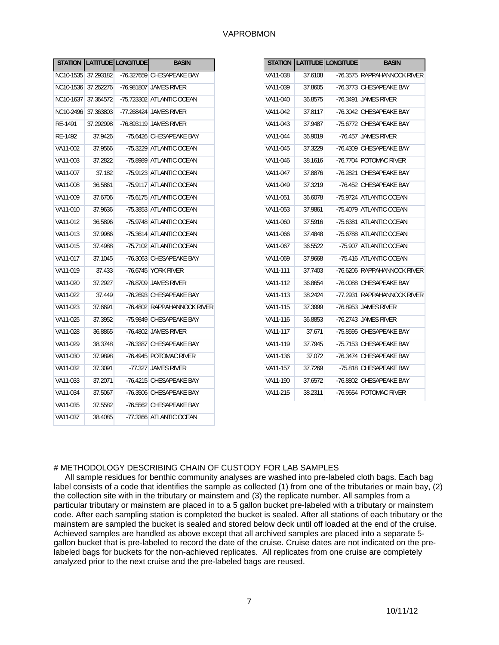|           |         | STATION   LATITUDE   LONGITUDE | <b>BASIN</b>                                 |
|-----------|---------|--------------------------------|----------------------------------------------|
|           |         |                                | NC10-1535 37.293182 76.327659 CHESAPEAKE BAY |
|           |         |                                | NC10-1536 37.262276 -76.981807 JAMES RIVER   |
| NC10-1637 |         |                                | 37.364572 -75.723302 ATLANTIC OCEAN          |
| NC10-2496 |         |                                | 37.363803 -77.268424 JAMES RIVER             |
| RE-1491   |         |                                | 37.292998 -76.893119 JAMES RIVER             |
| RE-1492   | 37.9426 |                                | -75.6426 CHESAPEAKE BAY                      |
| VA11-002  | 37.9566 |                                | -75.3229 ATLANTIC OCEAN                      |
| VA11-003  | 37.2822 |                                | -75.8989 ATLANTIC OCEAN                      |
| VA11-007  | 37.182  |                                | -75.9123 ATLANTIC OCEAN                      |
| VA11-008  | 36.5861 |                                | -75.9117 ATLANTIC OCEAN                      |
| VA11-009  | 37.6706 |                                | -75.6175 ATLANTIC OCEAN                      |
| VA11-010  | 37.9636 |                                | -75.3853 ATLANTIC OCEAN                      |
| VA11-012  | 36.5896 |                                | -75.9748 ATLANTIC OCEAN                      |
| VA11-013  | 37.9986 |                                | -75.3614 ATLANTIC OCEAN                      |
| VA11-015  | 37.4988 |                                | -75.7102 ATLANTIC OCEAN                      |
| VA11-017  | 37.1045 |                                | -76.3063 CHESAPEAKE BAY                      |
| VA11-019  | 37.433  |                                | -76.6745 YORK RIVER                          |
| VA11-020  | 37.2927 |                                | -76.8709 JAMES RIVER                         |
| VA11-022  | 37.449  |                                | -76.2693 CHESAPEAKE BAY                      |
| VA11-023  | 37.6691 |                                | -76.4802 RAPPAHANNOCK RIVER                  |
| VA11-025  | 37.3952 |                                | -75.9849 CHESAPEAKE BAY                      |
| VA11-028  | 36.8865 |                                | -76.4802 JAMES RIVER                         |
| VA11-029  | 38.3748 |                                | -76.3387 CHESAPEAKE BAY                      |
| VA11-030  | 37.9898 |                                | -76.4945 POTOMAC RIVER                       |
| VA11-032  | 37.3091 |                                | -77.327   JAMES RIVER                        |
| VA11-033  | 37.2071 |                                | -76.4215 CHESAPEAKE BAY                      |
| VA11-034  | 37.5067 |                                | -76.3506 CHESAPEAKE BAY                      |
| VA11-035  | 37.5582 |                                | -76.5562 CHESAPEAKE BAY                      |
| VA11-037  | 38.4085 |                                | -77.3366 ATLANTIC OCEAN                      |

| <b>STATION</b> |         | LATITUDE LONGITUDE | <b>BASIN</b>                |
|----------------|---------|--------------------|-----------------------------|
| VA11-038       | 37.6108 | $-76.3575$         | RAPPAHANNOCK RIVER          |
| VA11-039       | 37.8605 |                    | -76.3773 CHESAPEAKE BAY     |
| VA11-040       | 36.8575 |                    | -76.3491   JAMES RIVER      |
| VA11-042       | 37.8117 |                    | -76.3042 CHESAPEAKE BAY     |
| VA11-043       | 37.9487 |                    | -75.6772 CHESAPEAKE BAY     |
| VA11-044       | 36.9019 |                    | -76.457 JAMES RIVER         |
| VA11-045       | 37.3229 |                    | -76.4309 CHESAPEAKE BAY     |
| VA11-046       | 38.1616 |                    | -76.7704 POTOMAC RIVER      |
| VA11-047       | 37.8876 |                    | -76.2821 CHESAPEAKE BAY     |
| VA11-049       | 37.3219 |                    | -76.452 CHESAPEAKE BAY      |
| VA11-051       | 36.6078 |                    | -75.9724 ATLANTIC OCEAN     |
| VA11-053       | 37.9861 |                    | -75.4079 ATLANTIC OCEAN     |
| VA11-060       | 37.5916 |                    | -75.6381 ATLANTIC OCEAN     |
| VA11-066       | 37.4848 |                    | -75.6788 ATLANTIC OCEAN     |
| VA11-067       | 36.5522 |                    | -75.907 ATLANTIC OCEAN      |
| VA11-069       | 37.9668 |                    | -75.416 ATLANTIC OCEAN      |
| VA11-111       | 37.7403 |                    | -76.6206 RAPPAHANNOCK RIVER |
| VA11-112       | 36.8654 |                    | -76.0088 CHESAPEAKE BAY     |
| VA11-113       | 38.2424 |                    | -77.2931 RAPPAHANNOCK RIVER |
| VA11-115       | 37.3999 |                    | -76.8953 JAMES RIVER        |
| VA11-116       | 36.8853 |                    | -76.2743   JAMES RIVER      |
| VA11-117       | 37.671  |                    | -75.8595 CHESAPEAKE BAY     |
| VA11-119       | 37.7945 |                    | -75.7153 CHESAPEAKE BAY     |
| VA11-136       | 37.072  |                    | -76.3474 CHESAPEAKE BAY     |
| VA11-157       | 37.7269 |                    | -75.818 CHESAPEAKE BAY      |
| VA11-190       | 37.6572 |                    | -76.8802 CHESAPEAKE BAY     |
| VA11-215       | 38.2311 |                    | -76.9654 POTOMAC RIVER      |

# # METHODOLOGY DESCRIBING CHAIN OF CUSTODY FOR LAB SAMPLES

 All sample residues for benthic community analyses are washed into pre-labeled cloth bags. Each bag label consists of a code that identifies the sample as collected (1) from one of the tributaries or main bay, (2) the collection site with in the tributary or mainstem and (3) the replicate number. All samples from a particular tributary or mainstem are placed in to a 5 gallon bucket pre-labeled with a tributary or mainstem code. After each sampling station is completed the bucket is sealed. After all stations of each tributary or the mainstem are sampled the bucket is sealed and stored below deck until off loaded at the end of the cruise. Achieved samples are handled as above except that all archived samples are placed into a separate 5 gallon bucket that is pre-labeled to record the date of the cruise. Cruise dates are not indicated on the prelabeled bags for buckets for the non-achieved replicates. All replicates from one cruise are completely analyzed prior to the next cruise and the pre-labeled bags are reused.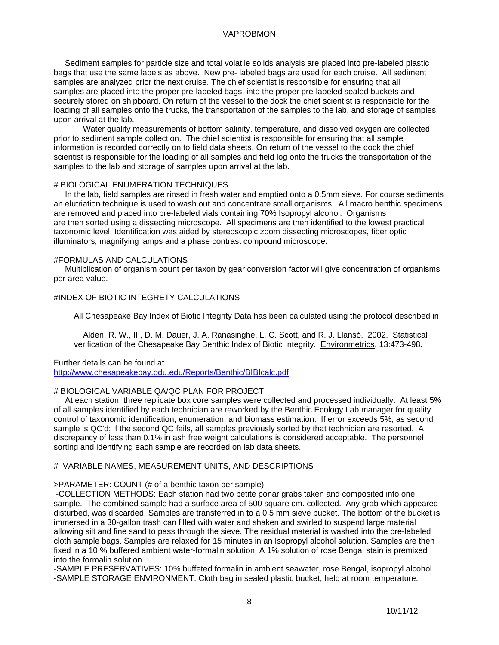Sediment samples for particle size and total volatile solids analysis are placed into pre-labeled plastic bags that use the same labels as above. New pre- labeled bags are used for each cruise. All sediment samples are analyzed prior the next cruise. The chief scientist is responsible for ensuring that all samples are placed into the proper pre-labeled bags, into the proper pre-labeled sealed buckets and securely stored on shipboard. On return of the vessel to the dock the chief scientist is responsible for the loading of all samples onto the trucks, the transportation of the samples to the lab, and storage of samples upon arrival at the lab.

 Water quality measurements of bottom salinity, temperature, and dissolved oxygen are collected prior to sediment sample collection. The chief scientist is responsible for ensuring that all sample information is recorded correctly on to field data sheets. On return of the vessel to the dock the chief scientist is responsible for the loading of all samples and field log onto the trucks the transportation of the samples to the lab and storage of samples upon arrival at the lab.

#### # BIOLOGICAL ENUMERATION TECHNIQUES

 In the lab, field samples are rinsed in fresh water and emptied onto a 0.5mm sieve. For course sediments an elutriation technique is used to wash out and concentrate small organisms. All macro benthic specimens are removed and placed into pre-labeled vials containing 70% Isopropyl alcohol. Organisms are then sorted using a dissecting microscope. All specimens are then identified to the lowest practical taxonomic level. Identification was aided by stereoscopic zoom dissecting microscopes, fiber optic illuminators, magnifying lamps and a phase contrast compound microscope.

# #FORMULAS AND CALCULATIONS

 Multiplication of organism count per taxon by gear conversion factor will give concentration of organisms per area value.

### #INDEX OF BIOTIC INTEGRETY CALCULATIONS

All Chesapeake Bay Index of Biotic Integrity Data has been calculated using the protocol described in

Alden, R. W., III, D. M. Dauer, J. A. Ranasinghe, L. C. Scott, and R. J. Llansó. 2002. Statistical verification of the Chesapeake Bay Benthic Index of Biotic Integrity. Environmetrics, 13:473-498.

#### Further details can be found at

http://www.chesapeakebay.odu.edu/Reports/Benthic/BIBIcalc.pdf

### # BIOLOGICAL VARIABLE QA/QC PLAN FOR PROJECT

 At each station, three replicate box core samples were collected and processed individually. At least 5% of all samples identified by each technician are reworked by the Benthic Ecology Lab manager for quality control of taxonomic identification, enumeration, and biomass estimation. If error exceeds 5%, as second sample is QC'd; if the second QC fails, all samples previously sorted by that technician are resorted. A discrepancy of less than 0.1% in ash free weight calculations is considered acceptable. The personnel sorting and identifying each sample are recorded on lab data sheets.

#### # VARIABLE NAMES, MEASUREMENT UNITS, AND DESCRIPTIONS

#### >PARAMETER: COUNT (# of a benthic taxon per sample)

 -COLLECTION METHODS: Each station had two petite ponar grabs taken and composited into one sample. The combined sample had a surface area of 500 square cm. collected. Any grab which appeared disturbed, was discarded. Samples are transferred in to a 0.5 mm sieve bucket. The bottom of the bucket is immersed in a 30-gallon trash can filled with water and shaken and swirled to suspend large material allowing silt and fine sand to pass through the sieve. The residual material is washed into the pre-labeled cloth sample bags. Samples are relaxed for 15 minutes in an Isopropyl alcohol solution. Samples are then fixed in a 10 % buffered ambient water-formalin solution. A 1% solution of rose Bengal stain is premixed into the formalin solution.

-SAMPLE PRESERVATIVES: 10% buffeted formalin in ambient seawater, rose Bengal, isopropyl alcohol -SAMPLE STORAGE ENVIRONMENT: Cloth bag in sealed plastic bucket, held at room temperature.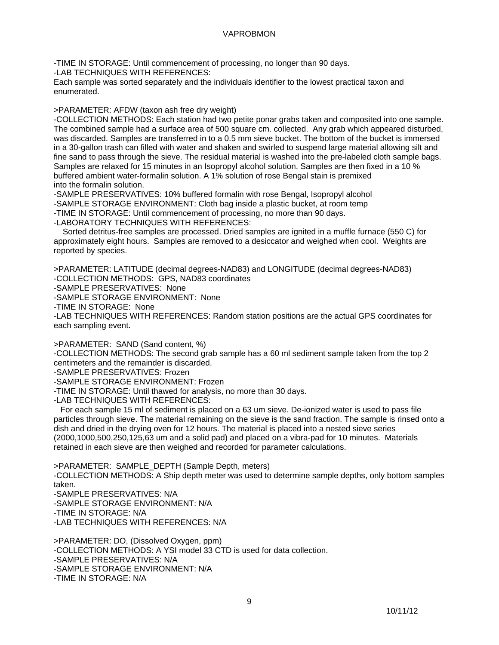-TIME IN STORAGE: Until commencement of processing, no longer than 90 days.

-LAB TECHNIQUES WITH REFERENCES:

Each sample was sorted separately and the individuals identifier to the lowest practical taxon and enumerated.

>PARAMETER: AFDW (taxon ash free dry weight)

-COLLECTION METHODS: Each station had two petite ponar grabs taken and composited into one sample. The combined sample had a surface area of 500 square cm. collected. Any grab which appeared disturbed, was discarded. Samples are transferred in to a 0.5 mm sieve bucket. The bottom of the bucket is immersed in a 30-gallon trash can filled with water and shaken and swirled to suspend large material allowing silt and fine sand to pass through the sieve. The residual material is washed into the pre-labeled cloth sample bags. Samples are relaxed for 15 minutes in an Isopropyl alcohol solution. Samples are then fixed in a 10 % buffered ambient water-formalin solution. A 1% solution of rose Bengal stain is premixed into the formalin solution.

-SAMPLE PRESERVATIVES: 10% buffered formalin with rose Bengal, Isopropyl alcohol -SAMPLE STORAGE ENVIRONMENT: Cloth bag inside a plastic bucket, at room temp -TIME IN STORAGE: Until commencement of processing, no more than 90 days.

-LABORATORY TECHNIQUES WITH REFERENCES:

 Sorted detritus-free samples are processed. Dried samples are ignited in a muffle furnace (550 C) for approximately eight hours. Samples are removed to a desiccator and weighed when cool. Weights are reported by species.

>PARAMETER: LATITUDE (decimal degrees-NAD83) and LONGITUDE (decimal degrees-NAD83) -COLLECTION METHODS: GPS, NAD83 coordinates

-SAMPLE PRESERVATIVES: None

-SAMPLE STORAGE ENVIRONMENT: None

-TIME IN STORAGE: None

-LAB TECHNIQUES WITH REFERENCES: Random station positions are the actual GPS coordinates for each sampling event.

>PARAMETER: SAND (Sand content, %)

-COLLECTION METHODS: The second grab sample has a 60 ml sediment sample taken from the top 2 centimeters and the remainder is discarded.

-SAMPLE PRESERVATIVES: Frozen

-SAMPLE STORAGE ENVIRONMENT: Frozen

-TIME IN STORAGE: Until thawed for analysis, no more than 30 days.

-LAB TECHNIQUES WITH REFERENCES:

 For each sample 15 ml of sediment is placed on a 63 um sieve. De-ionized water is used to pass file particles through sieve. The material remaining on the sieve is the sand fraction. The sample is rinsed onto a dish and dried in the drying oven for 12 hours. The material is placed into a nested sieve series (2000,1000,500,250,125,63 um and a solid pad) and placed on a vibra-pad for 10 minutes. Materials retained in each sieve are then weighed and recorded for parameter calculations.

>PARAMETER: SAMPLE\_DEPTH (Sample Depth, meters)

-COLLECTION METHODS: A Ship depth meter was used to determine sample depths, only bottom samples taken.

-SAMPLE PRESERVATIVES: N/A -SAMPLE STORAGE ENVIRONMENT: N/A -TIME IN STORAGE: N/A

-LAB TECHNIQUES WITH REFERENCES: N/A

>PARAMETER: DO, (Dissolved Oxygen, ppm) -COLLECTION METHODS: A YSI model 33 CTD is used for data collection. -SAMPLE PRESERVATIVES: N/A -SAMPLE STORAGE ENVIRONMENT: N/A -TIME IN STORAGE: N/A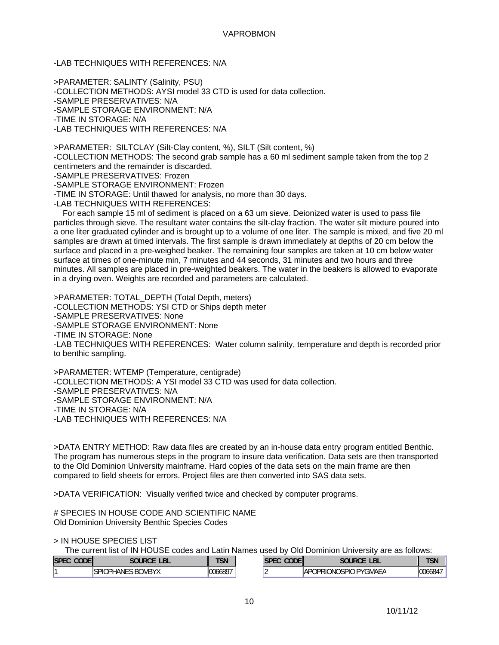-LAB TECHNIQUES WITH REFERENCES: N/A

>PARAMETER: SALINTY (Salinity, PSU) -COLLECTION METHODS: AYSI model 33 CTD is used for data collection. -SAMPLE PRESERVATIVES: N/A -SAMPLE STORAGE ENVIRONMENT: N/A -TIME IN STORAGE: N/A -LAB TECHNIQUES WITH REFERENCES: N/A

>PARAMETER: SILTCLAY (Silt-Clay content, %), SILT (Silt content, %) -COLLECTION METHODS: The second grab sample has a 60 ml sediment sample taken from the top 2 centimeters and the remainder is discarded. -SAMPLE PRESERVATIVES: Frozen

-SAMPLE STORAGE ENVIRONMENT: Frozen

-TIME IN STORAGE: Until thawed for analysis, no more than 30 days.

-LAB TECHNIQUES WITH REFERENCES:

 For each sample 15 ml of sediment is placed on a 63 um sieve. Deionized water is used to pass file particles through sieve. The resultant water contains the silt-clay fraction. The water silt mixture poured into a one liter graduated cylinder and is brought up to a volume of one liter. The sample is mixed, and five 20 ml samples are drawn at timed intervals. The first sample is drawn immediately at depths of 20 cm below the surface and placed in a pre-weighed beaker. The remaining four samples are taken at 10 cm below water surface at times of one-minute min, 7 minutes and 44 seconds, 31 minutes and two hours and three minutes. All samples are placed in pre-weighted beakers. The water in the beakers is allowed to evaporate in a drying oven. Weights are recorded and parameters are calculated.

>PARAMETER: TOTAL\_DEPTH (Total Depth, meters) -COLLECTION METHODS: YSI CTD or Ships depth meter -SAMPLE PRESERVATIVES: None -SAMPLE STORAGE ENVIRONMENT: None -TIME IN STORAGE: None -LAB TECHNIQUES WITH REFERENCES: Water column salinity, temperature and depth is recorded prior to benthic sampling.

>PARAMETER: WTEMP (Temperature, centigrade) -COLLECTION METHODS: A YSI model 33 CTD was used for data collection. -SAMPLE PRESERVATIVES: N/A -SAMPLE STORAGE ENVIRONMENT: N/A -TIME IN STORAGE: N/A -LAB TECHNIQUES WITH REFERENCES: N/A

>DATA ENTRY METHOD: Raw data files are created by an in-house data entry program entitled Benthic. The program has numerous steps in the program to insure data verification. Data sets are then transported to the Old Dominion University mainframe. Hard copies of the data sets on the main frame are then compared to field sheets for errors. Project files are then converted into SAS data sets.

>DATA VERIFICATION: Visually verified twice and checked by computer programs.

# SPECIES IN HOUSE CODE AND SCIENTIFIC NAME Old Dominion University Benthic Species Codes

> IN HOUSE SPECIES LIST

The current list of IN HOUSE codes and Latin Names used by Old Dominion University are as follows:

| <b>SI</b><br>$\sim$ $\sim$ $\sim$ |                         | <b>TAR</b><br>ווכ                                                       | $\sim$ $\sim$ $\sim$ | <b>PART</b><br>- P L<br>-                                           | $\overline{\phantom{a}}$<br>IJN |
|-----------------------------------|-------------------------|-------------------------------------------------------------------------|----------------------|---------------------------------------------------------------------|---------------------------------|
|                                   | יוחג<br><b>JMB</b><br>к | 1007<br>$\sim$<br>$\overline{\phantom{a}}$<br>1663<br>.xv<br><u>ົບບ</u> |                      | $\cdots$<br>SPIC<br><b>DVC</b><br>JPRI<br>)NI<br><b>IAP</b><br>MAL/ | " ነስስአ4 .                       |

10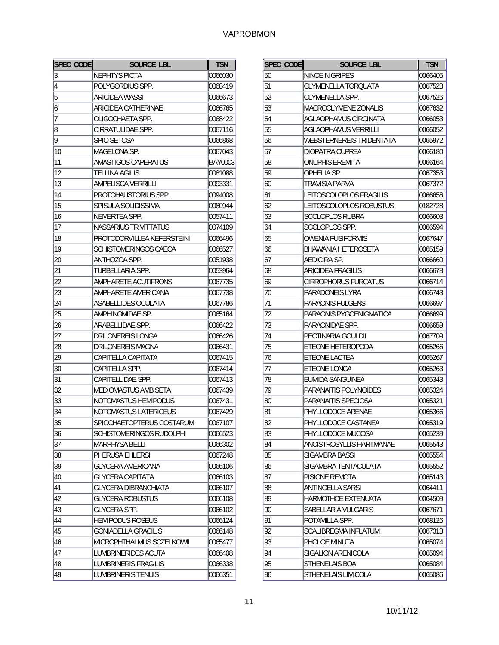| SPEC_CODE | <b>SOURCE LBL</b>           | <b>TSN</b> |
|-----------|-----------------------------|------------|
| 3         | NEPHTYS PICTA               | 0066030    |
| 4         | POLYGORDIUS SPP.            | 0068419    |
| 5         | <b>ARICIDEA WASSI</b>       | 0066673    |
| 6         | ARICIDEA CATHERINAE         | 0066765    |
| 7         | OLIGOCHAETA SPP.            | 0068422    |
| 8         | CIRRATULIDAE SPP.           | 0067116    |
| 9         | SPIO SETOSA                 | 0066868    |
| 10        | MAGELONA SP.                | 0067043    |
| 11        | AMASTIGOS CAPERATUS         | BAY0003    |
| 12        | <b>TELLINA AGILIS</b>       | 0081088    |
| 13        | AMPELISCA VERRILLI          | 0093331    |
| 14        | PROTOHAUSTORIUS SPP.        | 0094008    |
| 15        | SPISULA SOLIDISSIMA         | 0080944    |
| 16        | NEMERTEA SPP.               | 0057411    |
| 17        | NASSARIUS TRIVITTATUS       | 0074109    |
| 18        | PROTODORVILLEA KEFERSTEINI  | 0066496    |
| 19        | SCHISTOMERINGOS CAECA       | 0066527    |
| 20        | ANTHOZOA SPP.               | 0051938    |
| 21        | TURBELLARIA SPP.            | 0053964    |
| 22        | AMPHARETE ACUTIFRONS        | 0067735    |
| 23        | AMPHARETE AMERICANA         | 0067738    |
| 24        | ASABELLIDES OCULATA         | 0067786    |
| 25        | AMPHINOMIDAE SP.            | 0065164    |
| 26        | ARABELLIDAE SPP.            | 0066422    |
| 27        | DRILONEREIS LONGA           | 0066426    |
| 28        | DRILONEREIS MAGNA           | 0066431    |
| 29        | CAPITELLA CAPITATA          | 0067415    |
| 30        | CAPITELLA SPP.              | 0067414    |
| 31        | CAPITELLIDAE SPP.           | 0067413    |
| 32        | MEDIOMASTUS AMBISETA        | 0067439    |
| 33        | NOTOMASTUS HEMIPODUS        | 0067431    |
| 34        | NOTOMASTUS LATERICEUS       | 0067429    |
| 35        | SPIOCHAETOPTERUS COSTARUM   | 0067107    |
| 36        | SCHISTOMERINGOS RUDOLPHI    | 0066523    |
| 37        | <b>MARPHYSA BELLI</b>       | 0066302    |
| 38        | PHERUSA EHLERSI             | 0067248    |
| 39        | <b>GLYCERA AMERICANA</b>    | 0066106    |
| 40        | <b>GLYCERA CAPITATA</b>     | 0066103    |
| 41        | <b>GLYCERA DIBRANCHIATA</b> | 0066107    |
| 42        | <b>GLYCERA ROBUSTUS</b>     | 0066108    |
| 43        | <b>GLYCERA SPP.</b>         | 0066102    |
| 44        | <b>HEMIPODUS ROSEUS</b>     | 0066124    |
| 45        | <b>GONIADELLA GRACILIS</b>  | 0066148    |
| 46        | MICROPHTHALMUS SCZELKOWII   | 0065477    |
| 47        | LUMBRINERIDES ACUTA         | 0066408    |
| 48        | LUMBRINERIS FRAGILIS        | 0066338    |
| 49        | <b>LUMBRINERIS TENUIS</b>   | 0066351    |

| 50<br>NINOE NIGRIPES<br>51<br>CLYMENELLA TOROUATA<br>52<br>CLYMENELLA SPP.<br>53<br>MACROCLYMENE ZONALIS<br>54<br>AGLAOPHAMUS CIRCINATA<br>55<br>AGLAOPHAMUS VERRILLI<br>56<br><b>WEBSTERNEREIS TRIDENTATA</b><br>57<br>DIOPATRA CUPREA<br>58<br>ONUPHIS EREMITA<br>59<br>OPHELIA SP.<br><b>TRAVISIA PARVA</b><br>60<br>61<br>LEITOSCOLOPLOS FRAGILIS<br>62<br>LEITOSCOLOPLOS ROBUSTUS<br>63<br><b>SCOLOPLOS RUBRA</b><br>64<br>SCOLOPLOS SPP.<br>65<br><b>OWENIA FUSIFORMIS</b> | 0066405<br>0067528<br>0067526<br>0067632<br>0066053<br>0066052<br>0065972<br>0066180<br>0066164<br>0067353<br>0067372<br>0066656 |
|----------------------------------------------------------------------------------------------------------------------------------------------------------------------------------------------------------------------------------------------------------------------------------------------------------------------------------------------------------------------------------------------------------------------------------------------------------------------------------|----------------------------------------------------------------------------------------------------------------------------------|
|                                                                                                                                                                                                                                                                                                                                                                                                                                                                                  |                                                                                                                                  |
|                                                                                                                                                                                                                                                                                                                                                                                                                                                                                  |                                                                                                                                  |
|                                                                                                                                                                                                                                                                                                                                                                                                                                                                                  |                                                                                                                                  |
|                                                                                                                                                                                                                                                                                                                                                                                                                                                                                  |                                                                                                                                  |
|                                                                                                                                                                                                                                                                                                                                                                                                                                                                                  |                                                                                                                                  |
|                                                                                                                                                                                                                                                                                                                                                                                                                                                                                  |                                                                                                                                  |
|                                                                                                                                                                                                                                                                                                                                                                                                                                                                                  |                                                                                                                                  |
|                                                                                                                                                                                                                                                                                                                                                                                                                                                                                  |                                                                                                                                  |
|                                                                                                                                                                                                                                                                                                                                                                                                                                                                                  |                                                                                                                                  |
|                                                                                                                                                                                                                                                                                                                                                                                                                                                                                  |                                                                                                                                  |
|                                                                                                                                                                                                                                                                                                                                                                                                                                                                                  |                                                                                                                                  |
|                                                                                                                                                                                                                                                                                                                                                                                                                                                                                  |                                                                                                                                  |
|                                                                                                                                                                                                                                                                                                                                                                                                                                                                                  | 0182728                                                                                                                          |
|                                                                                                                                                                                                                                                                                                                                                                                                                                                                                  | 0066603                                                                                                                          |
|                                                                                                                                                                                                                                                                                                                                                                                                                                                                                  | 0066594                                                                                                                          |
|                                                                                                                                                                                                                                                                                                                                                                                                                                                                                  | 0067647                                                                                                                          |
| 66<br>BHAWANIA HETEROSETA                                                                                                                                                                                                                                                                                                                                                                                                                                                        | 0065159                                                                                                                          |
| 67<br>AEDICIRA SP.                                                                                                                                                                                                                                                                                                                                                                                                                                                               | 0066660                                                                                                                          |
| 68<br>ARICIDEA FRAGILIS                                                                                                                                                                                                                                                                                                                                                                                                                                                          | 0066678                                                                                                                          |
| 69<br><b>CIRROPHORUS FURCATUS</b>                                                                                                                                                                                                                                                                                                                                                                                                                                                | 0066714                                                                                                                          |
| 70<br>PARADONEIS LYRA                                                                                                                                                                                                                                                                                                                                                                                                                                                            | 0066743                                                                                                                          |
| 71<br>PARAONIS FULGENS                                                                                                                                                                                                                                                                                                                                                                                                                                                           | 0066697                                                                                                                          |
| 72<br>PARAONIS PYGOENIGMATICA                                                                                                                                                                                                                                                                                                                                                                                                                                                    | 0066699                                                                                                                          |
| 73<br>PARAONIDAE SPP.                                                                                                                                                                                                                                                                                                                                                                                                                                                            | 0066659                                                                                                                          |
| 74<br>PECTINARIA GOULDII                                                                                                                                                                                                                                                                                                                                                                                                                                                         | 0067709                                                                                                                          |
| 75<br>ETEONE HETEROPODA                                                                                                                                                                                                                                                                                                                                                                                                                                                          | 0065266                                                                                                                          |
| 76<br>ETEONE LACTEA                                                                                                                                                                                                                                                                                                                                                                                                                                                              | 0065267                                                                                                                          |
| 77<br>ETEONE LONGA                                                                                                                                                                                                                                                                                                                                                                                                                                                               | 0065263                                                                                                                          |
| 78<br>EUMIDA SANGUINEA                                                                                                                                                                                                                                                                                                                                                                                                                                                           | 0065343                                                                                                                          |
| 79<br>PARANAITIS POLYNOIDES                                                                                                                                                                                                                                                                                                                                                                                                                                                      | 0065324                                                                                                                          |
| PARANAITIS SPECIOSA<br>80                                                                                                                                                                                                                                                                                                                                                                                                                                                        | 0065321                                                                                                                          |
| 81<br>PHYLLODOCE ARENAE                                                                                                                                                                                                                                                                                                                                                                                                                                                          | 0065366                                                                                                                          |
| 82<br>PHYLLODOCE CASTANEA                                                                                                                                                                                                                                                                                                                                                                                                                                                        | 0065319                                                                                                                          |
| PHYLLODOCE MUCOSA<br>83                                                                                                                                                                                                                                                                                                                                                                                                                                                          | 0065239                                                                                                                          |
| ANCISTROSYLLIS HARTMANAE<br>84                                                                                                                                                                                                                                                                                                                                                                                                                                                   | 0065543                                                                                                                          |
| 85<br>SIGAMBRA BASSI                                                                                                                                                                                                                                                                                                                                                                                                                                                             | 0065554                                                                                                                          |
| 86<br>SIGAMBRA TENTACULATA                                                                                                                                                                                                                                                                                                                                                                                                                                                       | 0065552                                                                                                                          |
| 87<br>PISIONE REMOTA                                                                                                                                                                                                                                                                                                                                                                                                                                                             | 0065143                                                                                                                          |
| <b>ANTINOELLA SARSI</b><br>88                                                                                                                                                                                                                                                                                                                                                                                                                                                    | 0064411                                                                                                                          |
| 89<br>HARMOTHOE EXTENUATA                                                                                                                                                                                                                                                                                                                                                                                                                                                        | 0064509                                                                                                                          |
| 90<br>SABELLARIA VULGARIS                                                                                                                                                                                                                                                                                                                                                                                                                                                        | 0067671                                                                                                                          |
| 91<br>POTAMILLA SPP.                                                                                                                                                                                                                                                                                                                                                                                                                                                             | 0068126                                                                                                                          |
| 92<br>SCALIBREGMA INFLATUM                                                                                                                                                                                                                                                                                                                                                                                                                                                       | 0067313                                                                                                                          |
| 93<br>PHOLOE MINUTA                                                                                                                                                                                                                                                                                                                                                                                                                                                              | 0065074                                                                                                                          |
| 94<br>SIGALION ARENICOLA                                                                                                                                                                                                                                                                                                                                                                                                                                                         | 0065094                                                                                                                          |
| 95<br>STHENELAIS BOA                                                                                                                                                                                                                                                                                                                                                                                                                                                             |                                                                                                                                  |
| STHENELAIS LIMICOLA<br>96<br>0065086                                                                                                                                                                                                                                                                                                                                                                                                                                             | 0065084                                                                                                                          |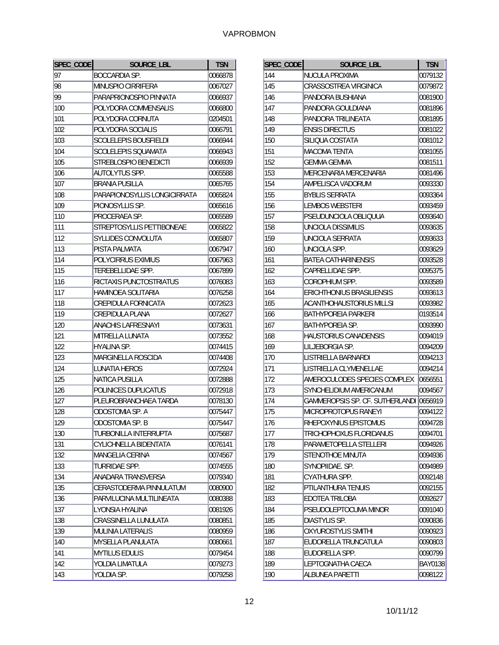| SPEC_CODE | SOURCE_LBL                     | <b>TSN</b> |
|-----------|--------------------------------|------------|
| 97        | <b>BOCCARDIA SP.</b>           | 0066878    |
| 98        | MINUSPIO CIRRIFERA             | 0067027    |
| 99        | PARAPRIONOSPIO PINNATA         | 0066937    |
| 100       | POLYDORA COMMENSALIS           | 0066800    |
| 101       | POLYDORA CORNUTA               | 0204501    |
| 102       | POLYDORA SOCIALIS              | 0066791    |
| 103       | <b>SCOLELEPIS BOUSFIELDI</b>   | 0066944    |
| 104       | SCOLELEPIS SOUAMATA            | 0066943    |
| 105       | STREBLOSPIO BENEDICTI          | 0066939    |
| 106       | <b>AUTOLYTUS SPP.</b>          | 0065588    |
| 107       | <b>BRANIA PUSILLA</b>          | 0065765    |
| 108       | PARAPIONOSYLLIS LONGICIRRATA   | 0065824    |
| 109       | PIONOSYLLIS SP.                | 0065616    |
| 110       | PROCERAEA SP.                  | 0065589    |
| 111       | STREPTOSYLLIS PETTIBONEAE      | 0065822    |
| 112       | SYLLIDES CONVOLUTA             | 0065807    |
| 113       | PISTA PALMATA                  | 0067947    |
| 114       | POLYCIRRUS EXIMIUS             | 0067963    |
| 115       | TEREBELLIDAE SPP.              | 0067899    |
| 116       | RICTAXIS PUNCTOSTRIATUS        | 0076083    |
| 117       | HAMINOEA SOLITARIA             | 0076258    |
| 118       | CREPIDULA FORNICATA            | 0072623    |
| 119       | <b>CREPIDULA PLANA</b>         | 0072627    |
| 120       | <b>ANACHIS LAFRESNAYI</b>      | 0073631    |
| 121       | MITRELLA LUNATA                | 0073552    |
| 122       | HYALINA SP.                    | 0074415    |
| 123       | MARGINELLA ROSCIDA             | 0074408    |
| 124       | <b>LUNATIA HEROS</b>           | 0072924    |
| 125       | NATICA PUSILLA                 | 0072888    |
| 126       | POLINICES DUPLICATUS           | 0072918    |
| 127       | PLEUROBRANCHAEA TARDA          | 0078130    |
| 128       | ODOSTOMIA SP. A                | 0075447    |
| 129       | ODOSTOMIA SP. B                | 0075447    |
| 130       | TURBONILLA INTERRUPTA          | 0075687    |
| 131       | <b>CYLICHNELLA BIDENTATA</b>   | 0076141    |
| 132       | MANGELIA CERINA                | 0074567    |
| 133       | TURRIDAE SPP.                  | 0074555    |
| 134       | ANADARA TRANSVERSA             | 0079340    |
| 135       | <b>CERASTODERMA PINNULATUM</b> | 0080900    |
| 136       | PARVILUCINA MULTILINEATA       | 0080388    |
| 137       | LYONSIA HYALINA                | 0081926    |
| 138       | <b>CRASSINELLA LUNULATA</b>    | 0080851    |
| 139       | MULINIA LATERALIS              | 0080959    |
| 140       | <b>MYSELLA PLANULATA</b>       | 0080661    |
| 141       | <b>MYTILUS EDULIS</b>          | 0079454    |
| 142       | YOLDIA LIMATULA                | 0079273    |
| 143       | YOLDIA SP.                     | 0079258    |

| SPEC_CODE | SOURCE_LBL                              | <b>TSN</b>     |
|-----------|-----------------------------------------|----------------|
| 144       | <b>NUCULA PROXIMA</b>                   | 0079132        |
| 145       | CRASSOSTREA VIRGINICA                   | 0079872        |
| 146       | PANDORA BUSHIANA                        | 0081900        |
| 147       | PANDORA GOULDIANA                       | 0081896        |
| 148       | PANDORA TRILINEATA                      | 0081895        |
| 149       | <b>ENSIS DIRECTUS</b>                   | 0081022        |
| 150       | SILIQUA COSTATA                         | 0081012        |
| 151       | MACOMA TENTA                            | 0081055        |
| 152       | GEMMA GEMMA                             | 0081511        |
| 153       | MERCENARIA MERCENARIA                   | 0081496        |
| 154       | AMPELISCA VADORUM                       | 0093330        |
| 155       | <b>BYBLIS SERRATA</b>                   | 0093364        |
| 156       | <b>LEMBOS WEBSTERI</b>                  | 0093459        |
| 157       | PSEUDUNCIOLA OBLIQUUA                   | 0093640        |
| 158       | <b>UNCIOLA DISSIMILIS</b>               | 0093635        |
| 159       | UNCIOLA SERRATA                         | 0093633        |
| 160       | UNCIOLA SPP.                            | 0093629        |
| 161       | <b>BATEA CATHARINENSIS</b>              | 0093528        |
| 162       | CAPRELLIDAE SPP.                        | 0095375        |
| 163       | COROPHIUM SPP.                          | 0093589        |
| 164       | <b>ERICHTHONIUS BRASILIENSIS</b>        | 0093613        |
| 165       | ACANTHOHAUSTORIUS MILLSI                | 0093982        |
| 166       | BATHYPOREIA PARKERI                     | 0193514        |
| 167       | <b>BATHYPOREIA SP.</b>                  | 0093990        |
| 168       | HAUSTORIUS CANADENSIS                   | 0094019        |
| 169       | LILJEBORGIA SP.                         | 0094209        |
| 170       | LISTRIELLA BARNARDI                     | 0094213        |
| 171       | LISTRIELLA CLYMENELLAE                  | 0094214        |
| 172       | AMEROCULODES SPECIES COMPLEX            | 0656551        |
| 173       | SYNCHELIDIUM AMERICANUM                 | 0094567        |
| 174       | GAMMEROPSIS SP. CF. SUTHERLANDI 0656919 |                |
| 175       | MICROPROTOPUS RANEYI                    | 0094122        |
| 176       | RHEPOXYNIUS EPISTOMUS                   | 0094728        |
| 177       | TRICHOPHOXUS FLORIDANUS                 | 0094701        |
| 178       | PARAMETOPELLA STELLERI                  | 0094926        |
| 179       | STENOTHOE MINUTA                        | 0094936        |
| 180       | SYNOPIIDAE. SP.                         | 0094989        |
| 181       | CYATHURA SPP.                           | 0092148        |
| 182       | PTILANTHURA TENUIS                      | 0092155        |
| 183       | <b>EDOTEA TRILOBA</b>                   | 0092627        |
| 184       | PSEUDOLEPTOCUMA MINOR                   | 0091040        |
| 185       | DIASTYLIS SP.                           | 0090836        |
| 186       | <b>OXYUROSTYLIS SMITHI</b>              | 0090923        |
| 187       | EUDORELLA TRUNCATULA                    | 0090803        |
| 188       | EUDORELLA SPP.                          | 0090799        |
| 189       | LEPTOGNATHA CAECA                       | <b>BAY0138</b> |
| 190       | ALBUNEA PARETTI                         | 0098122        |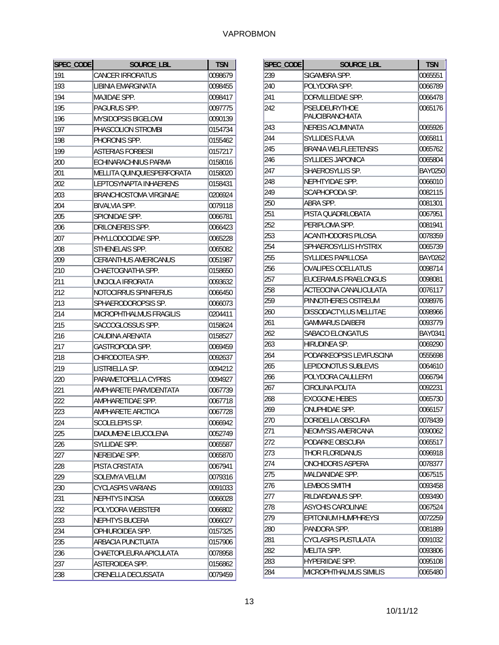| SPEC_CODE | <b>SOURCE LBL</b>            | <b>TSN</b> |
|-----------|------------------------------|------------|
| 191       | <b>CANCER IRRORATUS</b>      | 0098679    |
| 193       | LIBINIA EMARGINATA           | 0098455    |
| 194       | <b>MAJIDAE SPP.</b>          | 0098417    |
| 195       | PAGURUS SPP.                 | 0097775    |
| 196       | MYSIDOPSIS BIGELOWI          | 0090139    |
| 197       | PHASCOLION STROMBI           | 0154734    |
| 198       | PHORONIS SPP.                | 0155462    |
| 199       | <b>ASTERIAS FORBESII</b>     | 0157217    |
| 200       | ECHINARACHNIUS PARMA         | 0158016    |
| 201       | MELLITA QUINQUIESPERFORATA   | 0158020    |
| 202       | LEPTOSYNAPTA INHAERENS       | 0158431    |
| 203       | BRANCHIOSTOMA VIRGINIAE      | 0206924    |
| 204       | <b>BIVALVIA SPP.</b>         | 0079118    |
| 205       | SPIONIDAE SPP.               | 0066781    |
| 206       | DRILONEREIS SPP.             | 0066423    |
| 207       | PHYLLODOCIDAE SPP.           | 0065228    |
| 208       | STHENELAIS SPP.              | 0065082    |
| 209       | <b>CERIANTHUS AMERICANUS</b> | 0051987    |
| 210       | CHAETOGNATHA SPP.            | 0158650    |
| 211       | UNCIOLA IRRORATA             | 0093632    |
| 212       | NOTOCIRRUS SPINIFERUS        | 0066450    |
| 213       | SPHAERODOROPSIS SP.          | 0066073    |
| 214       | MICROPHTHALMUS FRAGILIS      | 0204411    |
| 215       | SACCOGLOSSUS SPP.            | 0158624    |
| 216       | CAUDINA ARENATA              | 0158527    |
| 217       | GASTROPODA SPP.              | 0069459    |
| 218       | CHIRODOTEA SPP.              | 0092637    |
| 219       | LISTRIELLA SP.               | 0094212    |
| 220       | PARAMETOPELLA CYPRIS         | 0094927    |
| 221       | AMPHARETE PARVIDENTATA       | 0067739    |
| 222       | AMPHARETIDAE SPP.            | 0067718    |
| 223       | AMPHARETE ARCTICA            | 0067728    |
| 224       | <b>SCOLELEPIS SP.</b>        | 0066942    |
| 225       | DIADUMENE LEUCOLENA          | 0052749    |
| 226       | SYLLIDAE SPP.                | 0065587    |
| 227       | NEREIDAE SPP.                | 0065870    |
| 228       | PISTA CRISTATA               | 0067941    |
| 229       | <b>SOLEMYA VELUM</b>         | 0079316    |
| 230       | <b>CYCLASPIS VARIANS</b>     | 0091033    |
| 231       | <b>NEPHTYS INCISA</b>        | 0066028    |
| 232       | POLYDORA WEBSTERI            | 0066802    |
| 233       | NEPHTYS BUCERA               | 0066027    |
| 234       | OPHIUROIDEA SPP.             | 0157325    |
| 235       | ARBACIA PUNCTUATA            | 0157906    |
| 236       | CHAETOPLEURA APICULATA       | 0078958    |
| 237       | ASTEROIDEA SPP.              | 0156862    |
| 238       | CRENELLA DECUSSATA           | 0079459    |

| SPEC_CODE | SOURCE LBL                  | <b>TSN</b>     |
|-----------|-----------------------------|----------------|
| 239       | SIGAMBRA SPP.               | 0065551        |
| 240       | POLYDORA SPP.               | 0066789        |
| 241       | DORVILLEIDAE SPP.           | 0066478        |
| 242       | <b>PSEUDEURYTHOE</b>        | 0065176        |
|           | PAUCIBRANCHIATA             |                |
| 243       | <b>NEREIS ACUMINATA</b>     | 0065926        |
| 244       | <b>SYLLIDES FULVA</b>       | 0065811        |
| 245       | BRANIA WELFLEETENSIS        | 0065762        |
| 246       | <b>SYLLIDES JAPONICA</b>    | 0065804        |
| 247       | SHAEROSYLLIS SP.            | <b>BAY0250</b> |
| 248       | NEPHTYIDAE SPP.             | 0066010        |
| 249       | SCAPHOPODA SP.              | 0082115        |
| 250       | ABRA SPP.                   | 0081301        |
| 251       | PISTA QUADRILOBATA          | 0067951        |
| 252       | PERIPLOMA SPP.              | 0081941        |
| 253       | <b>ACANTHODORIS PILOSA</b>  | 0078359        |
| 254       | SPHAEROSYLLIS HYSTRIX       | 0065739        |
| 255       | <b>SYLLIDES PAPILLOSA</b>   | BAY0262        |
| 256       | <b>OVALIPES OCELLATUS</b>   | 0098714        |
| 257       | EUCERAMUS PRAELONGUS        | 0098081        |
| 258       | ACTEOCINA CANALICULATA      | 0076117        |
| 259       | PINNOTHERES OSTREUM         | 0098976        |
| 260       | DISSODACTYLUS MELLITAE      | 0098966        |
| 261       | GAMMARUS DAIBERI            | 0093779        |
| 262       | SABACO ELONGATUS            | BAY0341        |
| 263       | HIRUDINEA SP.               | 0069290        |
| 264       | PODARKEOPSIS LEVIFUSCINA    | 0555698        |
| 265       | LEPIDONOTUS SUBLEVIS        | 0064610        |
| 266       | POLYDORA CAULLERYI          | 0066794        |
| 267       | CIROLINA POLITA             | 0092231        |
| 268       | <b>EXOGONE HEBES</b>        | 0065730        |
| 269       | ONUPHIDAE SPP.              | 0066157        |
| 270       | DORIDELLA OBSCURA           | 0078439        |
| 271       | <b>NEOMYSIS AMERICANA</b>   | 0090062        |
| 272       | PODARKE OBSCURA             | 0065517        |
| 273       | THOR FLORIDANUS             | 0096918        |
| 274       | <b>ONCHIDORIS ASPERA</b>    | 0078377        |
| 275       | MALDANIDAE SPP.             | 0067515        |
| 276       | <b>LEMBOS SMITHI</b>        | 0093458        |
| 277       | RILDARDANUS SPP.            | 0093490        |
| 278       | <b>ASYCHIS CAROLINAE</b>    | 0067524        |
| 279       | <b>EPITONIUM HUMPHREYSI</b> | 0072259        |
| 280       | PANDORA SPP.                | 0081889        |
| 281       | <b>CYCLASPIS PUSTULATA</b>  | 0091032        |
| 282       | <b>MELITA SPP.</b>          | 0093806        |
| 283       | HYPERIIDAE SPP.             | 0095108        |
| 284       | MICROPHTHALMUS SIMILIS      | 0065480        |
|           |                             |                |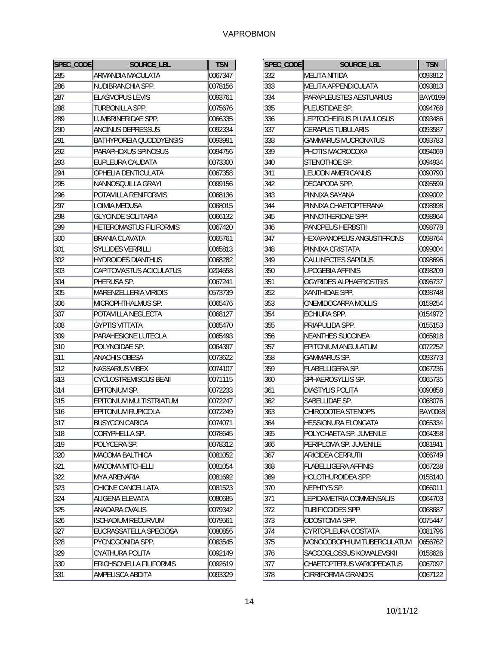| SPEC_CODE | SOURCE LBL                     | <b>TSN</b> |
|-----------|--------------------------------|------------|
| 285       | ARMANDIA MACULATA              | 0067347    |
| 286       | NUDIBRANCHIA SPP.              | 0078156    |
| 287       | <b>ELASMOPUS LEVIS</b>         | 0093761    |
| 288       | TURBONILLA SPP.                | 0075676    |
| 289       | LUMBRINERIDAE SPP.             | 0066335    |
| 290       | ANCINUS DEPRESSUS              | 0092334    |
| 291       | BATHYPOREIA QUODDYENSIS        | 0093991    |
| 292       | PARAPHOXUS SPINOSUS            | 0094756    |
| 293       | EUPLEURA CAUDATA               | 0073300    |
| 294       | OPHELIA DENTICULATA            | 0067358    |
| 295       | NANNOSQUILLA GRAYI             | 0099156    |
| 296       | POTAMILLA RENIFORMIS           | 0068136    |
| 297       | LOIMIA MEDUSA                  | 0068015    |
| 298       | <b>GLYCINDE SOLITARIA</b>      | 0066132    |
| 299       | <b>HETEROMASTUS FILIFORMIS</b> | 0067420    |
| 300       | <b>BRANIA CLAVATA</b>          | 0065761    |
| 301       | <b>SYLLIDES VERRILLI</b>       | 0065813    |
| 302       | <b>HYDROIDES DIANTHUS</b>      | 0068282    |
| 303       | CAPITOMASTUS ACICULATUS        | 0204558    |
| 304       | PHERUSA SP.                    | 0067241    |
| 305       | <b>MARENZELLERIA VIRIDIS</b>   | 0573739    |
| 306       | MICROPHTHALMUS SP.             | 0065476    |
| 307       | POTAMILLA NEGLECTA             | 0068127    |
| 308       | <b>GYPTIS VITTATA</b>          | 0065470    |
| 309       | PARAHESIONE LUTEOLA            | 0065493    |
| 310       | POLYNOIDAE SP.                 | 0064397    |
| 311       | ANACHIS OBESA                  | 0073622    |
| 312       | <b>NASSARIUS VIBEX</b>         | 0074107    |
| 313       | <b>CYCLOSTREMISCUS BEAII</b>   | 0071115    |
| 314       | EPITONIUM SP.                  | 0072233    |
| 315       | EPITONIUM MULTISTRIATUM        | 0072247    |
| 316       | EPITONIUM RUPICOLA             | 0072249    |
| 317       | <b>BUSYCON CARICA</b>          | 0074071    |
| 318       | CORYPHELLA SP.                 | 0078645    |
| 319       | POLYCERA SP.                   | 0078312    |
| 320       | <b>MACOMA BALTHICA</b>         | 0081052    |
| 321       | <b>MACOMA MITCHELLI</b>        | 0081054    |
| 322       | <b>MYA ARENARIA</b>            | 0081692    |
| 323       | CHIONE CANCELLATA              | 0081523    |
| 324       | ALIGENA ELEVATA                | 0080685    |
| 325       | ANADARA OVALIS                 | 0079342    |
| 326       | <b>ISCHADIUM RECURVUM</b>      | 0079561    |
| 327       | EUCRASSATELLA SPECIOSA         | 0080856    |
| 328       | PYCNOGONIDA SPP.               | 0083545    |
| 329       | CYATHURA POLITA                | 0092149    |
| 330       | ERICHSONELLA FILIFORMIS        | 0092619    |
| 331       | AMPELISCA ABDITA               | 0093329    |

| SPEC_CODE | SOURCE_LBL                       | <b>TSN</b>     |
|-----------|----------------------------------|----------------|
| 332       | <b>MELITA NITIDA</b>             | 0093812        |
| 333       | MELITA APPENDICULATA             | 0093813        |
| 334       | PARAPLEUSTES AESTUARIUS          | <b>BAY0199</b> |
| 335       | PLEUSTIDAE SP.                   | 0094768        |
| 336       | LEPTOCHEIRUS PLUMULOSUS          | 0093486        |
| 337       | <b>CERAPUS TUBULARIS</b>         | 0093587        |
| 338       | <b>GAMMARUS MUCRONATUS</b>       | 0093783        |
| 339       | PHOTIS MACROCOXA                 | 0094069        |
| 340       | STENOTHOE SP.                    | 0094934        |
| 341       | <b>LEUCON AMERICANUS</b>         | 0090790        |
| 342       | DECAPODA SPP.                    | 0095599        |
| 343       | PINNIXA SAYANA                   | 0099002        |
| 344       | PINNIXA CHAETOPTERANA            | 0098998        |
| 345       | PINNOTHERIDAE SPP.               | 0098964        |
| 346       | <b>PANOPEUS HERBSTII</b>         | 0098778        |
| 347       | <b>HEXAPANOPEUS ANGUSTIFRONS</b> | 0098764        |
| 348       | PINNIXA CRISTATA                 | 0099004        |
| 349       | <b>CALLINECTES SAPIDUS</b>       | 0098696        |
| 350       | <b>UPOGEBIA AFFINIS</b>          | 0098209        |
| 351       | OGYRIDES ALPHAEROSTRIS           | 0096737        |
| 352       | XANTHIDAE SPP.                   | 0098748        |
| 353       | CNEMIDOCARPA MOLLIS              | 0159254        |
| 354       | <b>ECHIURA SPP.</b>              | 0154972        |
| 355       | PRIAPULIDA SPP.                  | 0155153        |
| 356       | NEANTHES SUCCINEA                | 0065918        |
| 357       | EPITONIUM ANGULATUM              | 0072252        |
| 358       | GAMMARUS SP.                     | 0093773        |
| 359       | <b>FLABELLIGERA SP.</b>          | 0067236        |
| 360       | SPHAEROSYLLIS SP.                | 0065735        |
| 361       | <b>DIASTYLIS POLITA</b>          | 0090858        |
| 362       | SABELLIDAE SP.                   | 0068076        |
| 363       | CHIRODOTEA STENOPS               | <b>BAY0068</b> |
| 364       | HESSIONURA ELONGATA              | 0065334        |
| 365       | POLYCHAETA SP. JUVENILE          | 0064358        |
| 366       | PERIPLOMA SP. JUVENILE           | 0081941        |
| 367       | ARICIDEA CERRUTII                | 0066749        |
| 368       | <b>FLABELLIGERA AFFINIS</b>      | 0067238        |
| 369       | HOLOTHUROIDEA SPP.               | 0158140        |
| 370       | NEPHTYS SP.                      | 0066011        |
| 371       | LEPIDAMETRIA COMMENSALIS         | 0064703        |
| 372       | <b>TUBIFICOIDES SPP</b>          | 0068687        |
| 373       | ODOSTOMIA SPP.                   | 0075447        |
| 374       | CYRTOPLEURA COSTATA              | 0081796        |
| 375       | MONOCOROPHIUM TUBERCULATUM       | 0656762        |
| 376       | SACCOGLOSSUS KOWALEVSKII         | 0158626        |
| 377       | CHAETOPTERUS VARIOPEDATUS        | 0067097        |
| 378       | CIRRIFORMIA GRANDIS              | 0067122        |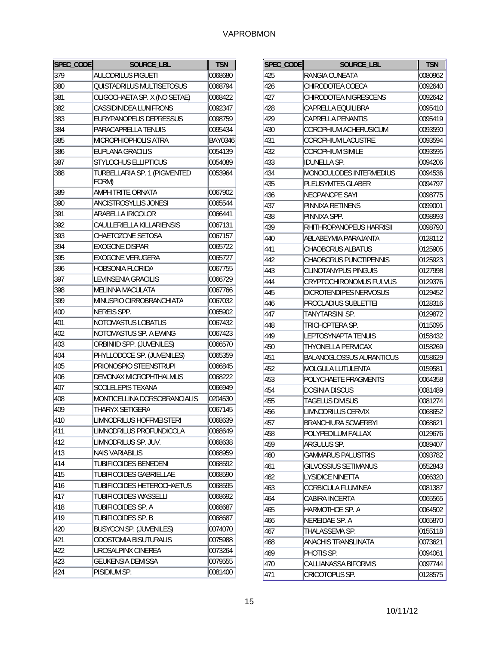| SPEC_CODE | <b>SOURCE_LBL</b>                     | <b>TSN</b> |
|-----------|---------------------------------------|------------|
| 379       | <b>AULODRILUS PIGUETI</b>             | 0068680    |
| 380       | QUISTADRILUS MULTISETOSUS             | 0068794    |
| 381       | OLIGOCHAETA SP. X (NO SETAE)          | 0068422    |
| 382       | CASSIDINIDEA LUNIFRONS                | 0092347    |
| 383       | EURYPANOPEUS DEPRESSUS                | 0098759    |
| 384       | PARACAPRELLA TENUIS                   | 0095434    |
| 385       | MICROPHIOPHOLIS ATRA                  | BAY0346    |
| 386       | <b>EUPLANA GRACILIS</b>               | 0054139    |
| 387       | <b>STYLOCHUS ELLIPTICUS</b>           | 0054089    |
| 388       | TURBELLARIA SP. 1 (PIGMENTED<br>FORM) | 0053964    |
| 389       | AMPHITRITE ORNATA                     | 0067902    |
| 390       | ANCISTROSYLLIS JONESI                 | 0065544    |
| 391       | ARABELLA IRICOLOR                     | 0066441    |
| 392       | CAULLERIELLA KILLARIENSIS             | 0067131    |
| 393       | CHAETOZONE SETOSA                     | 0067157    |
| 394       | <b>EXOGONE DISPAR</b>                 | 0065722    |
| 395       | <b>EXOGONE VERUGERA</b>               | 0065727    |
| 396       | <b>HOBSONIA FLORIDA</b>               | 0067755    |
| 397       | LEVINSENIA GRACILIS                   | 0066729    |
| 398       | MELINNA MACULATA                      | 0067766    |
| 399       | MINUSPIO CIRROBRANCHIATA              | 0067032    |
| 400       | NEREIS SPP.                           | 0065902    |
| 401       | NOTOMASTUS LOBATUS                    | 0067432    |
| 402       | NOTOMASTUS SP. A EWING                | 0067423    |
| 403       | ORBINIID SPP. (JUVENILES)             | 0066570    |
| 404       | PHYLLODOCE SP. (JUVENILES)            | 0065359    |
| 405       | PRIONOSPIO STEENSTRUPI                | 0066845    |
| 406       | DEMONAX MICROPHTHALMUS                | 0068222    |
| 407       | SCOLELEPIS TEXANA                     | 0066949    |
| 408       | MONTICELLINA DORSOBRANCIALIS          | 0204530    |
| 409       | THARYX SETIGERA                       | 0067145    |
| 410       | LIMNODRILUS HOFFMEISTERI              | 0068639    |
| 411       | LIMNODRILUS PROFUNDICOLA              | 0068649    |
| 412       | LIMNODRILUS SP. JUV.                  | 0068638    |
| 413       | <b>NAIS VARIABILIS</b>                | 0068959    |
| 414       | <b>TUBIFICOIDES BENEDENI</b>          | 0068592    |
| 415       | <b>TUBIFICOIDES GABRIELLAE</b>        | 0068590    |
| 416       | TUBIFICOIDES HETEROCHAETUS            | 0068595    |
| 417       | <b>TUBIFICOIDES WASSELLI</b>          | 0068692    |
| 418       | TUBIFICOIDES SP. A                    | 0068687    |
| 419       | TUBIFICOIDES SP. B                    | 0068687    |
| 420       | <b>BUSYCON SP. (JUVENILES)</b>        | 0074070    |
| 421       | <b>ODOSTOMIA BISUTURALIS</b>          | 0075988    |
| 422       | UROSALPINX CINEREA                    | 0073264    |
| 423       | <b>GEUKENSIA DEMISSA</b>              | 0079555    |
| 424       | PISIDIUM SP.                          | 0081400    |

| SPEC_CODE | <b>SOURCE LBL</b>               | <b>TSN</b> |
|-----------|---------------------------------|------------|
| 425       | RANGIA CUNEATA                  | 0080962    |
| 426       | CHIRODOTEA COECA                | 0092640    |
| 427       | CHIRODOTEA NIGRESCENS           | 0092642    |
| 428       | CAPRELLA EQUILIBRA              | 0095410    |
| 429       | CAPRELLA PENANTIS               | 0095419    |
| 430       | COROPHIUM ACHERUSICUM           | 0093590    |
| 431       | COROPHIUM LACUSTRE              | 0093594    |
| 432       | <b>COROPHIUM SIMILE</b>         | 0093595    |
| 433       | IDUNELLA SP.                    | 0094206    |
| 434       | MONOCULODES INTERMEDIUS         | 0094536    |
| 435       | <b>PLEUSYMTES GLABER</b>        | 0094797    |
| 436       | <b>NEOPANOPE SAYI</b>           | 0098775    |
| 437       | PINNIXA RETINENS                | 0099001    |
| 438       | PINNIXA SPP.                    | 0098993    |
| 439       | RHITHROPANOPEUS HARRISII        | 0098790    |
| 440       | ABLABEYMIA PARAJANTA            | 0128112    |
| 441       | <b>CHAOBORUS ALBATUS</b>        | 0125905    |
| 442       | CHAOBORUS PUNCTIPENNIS          | 0125923    |
| 443       | CLINOTANYPUS PINGUIS            | 0127998    |
| 444       | CRYPTOCHIRONOMUS FULVUS         | 0129376    |
| 445       | DICROTENDIPES NERVOSUS          | 0129452    |
| 446       | PROCLADIUS SUBLETTEI            | 0128316    |
| 447       | TANYTARSINI SP.                 | 0129872    |
| 448       | TRICHOPTERA SP.                 | 0115095    |
| 449       | LEPTOSYNAPTA TENUIS             | 0158432    |
| 450       | <b>THYONELLA PERVICAX</b>       | 0158269    |
| 451       | <b>BALANOGLOSSUS AURANTICUS</b> | 0158629    |
| 452       | MOLGULA LUTULENTA               | 0159581    |
| 453       | POLYCHAETE FRAGMENTS            | 0064358    |
| 454       | DOSINIA DISCUS                  | 0081489    |
| 455       | TAGELUS DIVISUS                 | 0081274    |
| 456       | LIMNODRILUS CERVIX              | 0068652    |
| 457       | BRANCHIURA SOWERBYI             | 0068621    |
| 458       | POLYPEDILUM FALLAX              | 0129676    |
| 459       | ARGULUS SP.                     | 0089407    |
| 460       | <b>GAMMARUS PALUSTRIS</b>       | 0093782    |
| 461       | <b>GILVOSSIUS SETIMANUS</b>     | 0552843    |
| 462       | <b>LYSIDICE NINETTA</b>         | 0066320    |
| 463       | CORBICULA FLUMINEA              | 0081387    |
| 464       | <b>CABIRA INCERTA</b>           | 0065565    |
| 465       | HARMOTHOE SP. A                 | 0064502    |
| 466       | NEREIDAE SP. A                  | 0065870    |
| 467       | THALASSEMA SP.                  | 0155118    |
| 468       | ANACHIS TRANSLINATA             | 0073621    |
| 469       | PHOTIS SP.                      | 0094061    |
| 470       | CALLIANASSA BIFORMIS            | 0097744    |
| 471       | <b>CRICOTOPUS SP.</b>           | 0128575    |
|           |                                 |            |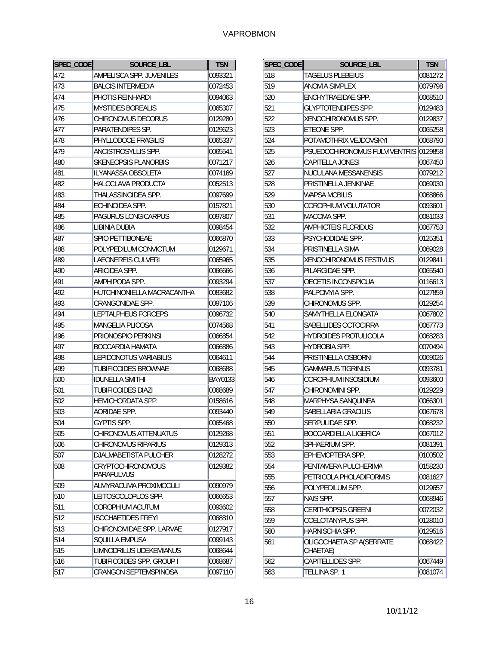| SPEC_CODE | <b>SOURCE LBL</b>                      | <b>TSN</b>     |
|-----------|----------------------------------------|----------------|
| 472       | AMPELISCA SPP. JUVENILES               | 0093321        |
| 473       | <b>BALCIS INTERMEDIA</b>               | 0072453        |
| 474       | PHOTIS REINHARDI                       | 0094063        |
| 475       | <b>MYSTIDES BOREALIS</b>               | 0065307        |
| 476       | CHIRONOMUS DECORUS                     | 0129280        |
| 477       | PARATENDIPES SP.                       | 0129623        |
| 478       | PHYLLODOCE FRAGILIS                    | 0065337        |
| 479       | ANCISTROSYLLIS SPP.                    | 0065541        |
| 480       | <b>SKENEOPSIS PLANORBIS</b>            | 0071217        |
| 481       | ILYANASSA OBSOLETA                     | 0074169        |
| 482       | HALOCLAVA PRODUCTA                     | 0052513        |
| 483       | THALASSINOIDEA SPP.                    | 0097699        |
| 484       | ECHINOIDEA SPP.                        | 0157821        |
| 485       | PAGURUS LONGICARPUS                    | 0097807        |
| 486       | LIBINIA DUBIA                          | 0098454        |
| 487       | <b>SPIO PETTIBONEAE</b>                | 0066870        |
| 488       | POLYPEDILUM CONVICTUM                  | 0129671        |
| 489       | LAEONEREIS CULVERI                     | 0065965        |
| 490       | ARICIDEA SPP.                          | 0066666        |
| 491       | AMPHIPODA SPP.                         | 0093294        |
| 492       | HUTCHINONIELLA MACRACANTHA             | 0083682        |
| 493       | CRANGONIDAE SPP.                       | 0097106        |
| 494       | LEPTALPHEUS FORCEPS                    | 0096732        |
| 495       | <b>MANGELIA PLICOSA</b>                | 0074568        |
| 496       | PRIONOSPIO PERKINSI                    | 0066854        |
| 497       | <b>BOCCARDIA HAMATA</b>                | 0066886        |
| 498       | LEPIDONOTUS VARIABILIS                 | 0064611        |
| 499       | <b>TUBIFICOIDES BROWNAE</b>            | 0068688        |
| 500       | <b>IDUNELLA SMITHI</b>                 | <b>BAY0133</b> |
| 501       | <b>TUBIFICOIDES DIAZI</b>              | 0068689        |
| 502       | HEMICHORDATA SPP.                      | 0158616        |
| 503       | AORIDAE SPP.                           | 0093440        |
| 504       | <b>GYPTIS SPP</b>                      | 0065468        |
| 505       | CHIRONOMUS ATTENUATUS                  | 0129268        |
| 506       | <b>CHIRONOMUS RIPARIUS</b>             | 0129313        |
| 507       | DJALMABETISTA PULCHER                  | 0128272        |
| 508       | <b>CRYPTOCHIRONOMOUS</b><br>PARAFULVUS | 0129382        |
| 509       | ALMYRACUMA PROXIMOCULI                 | 0090979        |
| 510       | LEITOSCOLOPLOS SPP.                    | 0066653        |
| 511       | COROPHIUM ACUTUM                       | 0093602        |
| 512       | <b>ISOCHAETIDES FREYI</b>              | 0068810        |
| 513       | CHIRONOMIDAE SPP. LARVAE               | 0127917        |
| 514       | SQUILLA EMPUSA                         | 0099143        |
| 515       | LIMNODRILUS UDEKEMIANUS                | 0068644        |
| 516       | TUBIFICOIDES SPP. GROUP I              | 0068687        |
| 517       | CRANGON SEPTEMSPINOSA                  | 0097110        |

| SPEC_CODE | <b>SOURCE LBL</b>             | <b>TSN</b> |
|-----------|-------------------------------|------------|
| 518       | TAGELUS PLEBEIUS              | 0081272    |
| 519       | <b>ANOMIA SIMPLEX</b>         | 0079798    |
| 520       | ENCHYTRAEIDAE SPP.            | 0068510    |
| 521       | GLYPTOTENDIPES SPP.           | 0129483    |
| 522       | XENOCHIRONOMUS SPP.           | 0129837    |
| 523       | ETEONE SPP.                   | 0065258    |
| 524       | POTAMOTHRIX VEJDOVSKYI        | 0068790    |
| 525       | PSUEDOCHIRONOMUS FULVIVENTRIS | 0129858    |
| 526       | <b>CAPITELLA JONESI</b>       | 0067450    |
| 527       | NUCULANA MESSANENSIS          | 0079212    |
| 528       | PRISTINELLA JENKINAE          | 0069030    |
| 529       | <b>WAPSA MOBILIS</b>          | 0068866    |
| 530       | COROPHIUM VOLUTATOR           | 0093601    |
| 531       | MACOMA SPP.                   | 0081033    |
| 532       | <b>AMPHICTEIS FLORIDUS</b>    | 0067753    |
| 533       | PSYCHODIDAE SPP.              | 0125351    |
| 534       | PRISTINELLA SIMA              | 0069028    |
| 535       | XENOCHIRONOMUS FESTIVUS       | 0129841    |
| 536       | PILARGIDAE SPP.               | 0065540    |
| 537       | OECETIS INCONSPICUA           | 0116613    |
| 538       | PALPOMYIA SPP.                | 0127859    |
| 539       | CHIRONOMUS SPP.               | 0129254    |
| 540       | SAMYTHELLA ELONGATA           | 0067802    |
| 541       | SABELLIDES OCTOCIRRA          | 0067773    |
| 542       | <b>HYDROIDES PROTULICOLA</b>  | 0068283    |
| 543       | <b>HYDROBIA SPP.</b>          | 0070494    |
| 544       | PRISTINELLA OSBORNI           | 0069026    |
| 545       | <b>GAMMARUS TIGRINUS</b>      | 0093781    |
| 546       | COROPHIUM INSOSIDIUM          | 0093600    |
| 547       | CHIRONOMINI SPP.              | 0129229    |
| 548       | <b>MARPHYSA SANQUINEA</b>     | 0066301    |
| 549       | SABELLARIA GRACILIS           | 0067678    |
| 550       | SERPULIDAE SPP.               | 0068232    |
| 551       | BOCCARDIELLA LIGERICA         | 0067012    |
| 552       | SPHAERIUM SPP.                | 0081391    |
| 553       | EPHEMOPTERA SPP.              | 0100502    |
| 554       | PENTAMERA PULCHERIMA          | 0158230    |
| 555       | PETRICOLA PHOLADIFORMIS       | 0081627    |
| 556       | POLYPEDILUM SPP.              | 0129657    |
| 557       | NAIS SPP.                     | 0068946    |
| 558       | CERITHIOPSIS GREENI           | 0072032    |
| 559       | COELOTANYPUS SPP.             | 0128010    |
| 560       | HARNISCHIA SPP.               | 0129516    |
| 561       | OLIGOCHAETA SP A(SERRATE      | 0068422    |
|           | CHAETAE)                      |            |
| 562       | CAPITELLIDES SPP.             | 0067449    |
| 563       | TELLINA SP. 1                 | 0081074    |
|           |                               |            |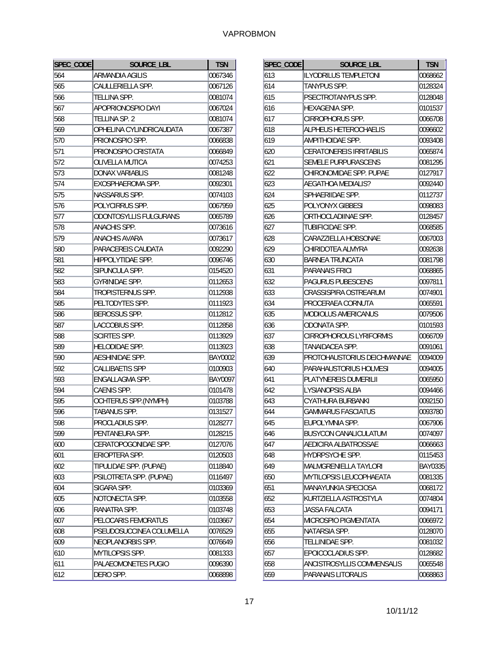| SPEC_CODE | SOURCE LBL                    | <b>TSN</b> |
|-----------|-------------------------------|------------|
| 564       | ARMANDIA AGILIS               | 0067346    |
| 565       | CAULLERIELLA SPP.             | 0067126    |
| 566       | TELLINA SPP.                  | 0081074    |
| 567       | APOPRIONOSPIO DAYI            | 0067024    |
| 568       | TELLINA SP. 2                 | 0081074    |
| 569       | OPHELINA CYLINDRICAUDATA      | 0067387    |
| 570       | PRIONOSPIO SPP.               | 0066838    |
| 571       | PRIONOSPIO CRISTATA           | 0066849    |
| 572       | <b>OLIVELLA MUTICA</b>        | 0074253    |
| 573       | <b>DONAX VARIABLIS</b>        | 0081248    |
| 574       | EXOSPHAEROMA SPP.             | 0092301    |
| 575       | NASSARIUS SPP.                | 0074103    |
| 576       | POLYCIRRUS SPP.               | 0067959    |
| 577       | <b>ODONTOSYLLIS FULGURANS</b> | 0065789    |
| 578       | <b>ANACHIS SPP.</b>           | 0073616    |
| 579       | <b>ANACHIS AVARA</b>          | 0073617    |
| 580       | PARACEREIS CAUDATA            | 0092290    |
| 581       | HIPPOLYTIDAE SPP.             | 0096746    |
| 582       | SIPUNCULA SPP.                | 0154520    |
| 583       | GYRINIDAE SPP.                | 0112653    |
| 584       | TROPISTERNUS SPP.             | 0112938    |
| 585       | PELTODYTES SPP.               | 0111923    |
| 586       | BEROSSUS SPP.                 | 0112812    |
| 587       | LACCOBIUS SPP.                | 0112858    |
| 588       | SCIRTES SPP.                  | 0113929    |
| 589       | <b>HELODIDAE SPP.</b>         | 0113923    |
| 590       | AESHINIDAE SPP.               | BAY0002    |
| 592       | <b>CALLIBAETIS SPP</b>        | 0100903    |
| 593       | ENGALLAGMA SPP.               | BAY0097    |
| 594       | CAENIS SPP.                   | 0101478    |
| 595       | OCHTERUS SPP.(NYMPH)          | 0103788    |
| 596       | TABANUS SPP.                  | 0131527    |
| 598       | PROCLADIUS SPP                | 0128277    |
| 599       | PENTANEURA SPP.               | 0128215    |
| 600       | CERATOPOGONIDAE SPP.          | 0127076    |
| 601       | ERIOPTERA SPP.                | 0120503    |
| 602       | TIPULIDAE SPP. (PUPAE)        | 0118840    |
| 603       | PSILOTRETA SPP. (PUPAE)       | 0116497    |
| 604       | SIGARA SPP.                   | 0103369    |
| 605       | NOTONECTA SPP.                | 0103558    |
| 606       | RANATRA SPP.                  | 0103748    |
| 607       | PELOCARIS FEMORATUS           | 0103667    |
| 608       | PSEUDOSUCCINEA COLUMELLA      | 0076529    |
| 609       | NEOPLANORBIS SPP.             | 0076649    |
| 610       | MYTILOPSIS SPP.               | 0081333    |
| 611       | PALAEOMONETES PUGIO           | 0096390    |
| 612       | DERO SPP.                     | 0068898    |

| SPEC_CODE | SOURCE LBL                      | <b>TSN</b> |
|-----------|---------------------------------|------------|
| 613       | <b>ILYODRILUS TEMPLETONI</b>    | 0068662    |
| 614       | <b>TANYPUS SPP.</b>             | 0128324    |
| 615       | PSECTROTANYPUS SPP.             | 0128048    |
| 616       | <b>HEXAGENIA SPP.</b>           | 0101537    |
| 617       | CIRROPHORUS SPP.                | 0066708    |
| 618       | <b>ALPHEUS HETEROCHAELIS</b>    | 0096602    |
| 619       | AMPITHOIDAE SPP.                | 0093408    |
| 620       | <b>CERATONEREIS IRRITABILIS</b> | 0065874    |
| 621       | SEMELE PURPURASCENS             | 0081295    |
| 622       | CHIRONOMIDAE SPP. PUPAE         | 0127917    |
| 623       | <b>AEGATHOA MEDIALIS?</b>       | 0092440    |
| 624       | SPHAERIIDAE SPP.                | 0112737    |
| 625       | <b>POLYONYX GIBBESI</b>         | 0098083    |
| 626       | ORTHOCLADIINAE SPP.             | 0128457    |
| 627       | TUBIFICIDAE SPP.                | 0068585    |
| 628       | CARAZZIELLA HOBSONAE            | 0067003    |
| 629       | CHIRIDOTEA ALMYRA               | 0092638    |
| 630       | BARNEA TRUNCATA                 | 0081798    |
| 631       | PARANAIS FRICI                  | 0068865    |
| 632       | PAGURUS PUBESCENS               | 0097811    |
| 633       | CRASSISPIRA OSTREARUM           | 0074901    |
| 634       | PROCERAEA CORNUTA               | 0065591    |
| 635       | MODIOLUS AMERICANUS             | 0079506    |
| 636       | <b>ODONATA SPP.</b>             | 0101593    |
| 637       | CIRROPHOROUS LYRIFORMIS         | 0066709    |
| 638       | TANAIDACEA SPP.                 | 0091061    |
| 639       | PROTOHAUSTORIUS DEICHMANNAE     | 0094009    |
| 640       | PARAHAUSTORIUS HOLMESI          | 0094005    |
| 641       | PLATYNEREIS DUMERILII           | 0065950    |
| 642       | <b>LYSIANOPSIS ALBA</b>         | 0094466    |
| 643       | CYATHURA BURBANKI               | 0092150    |
| 644       | <b>GAMMARUS FASCIATUS</b>       | 0093780    |
| 645       | EUPOLYMNIA SPP                  | 0067906    |
| 646       | <b>BUSYCON CANALICULATUM</b>    | 0074097    |
| 647       | AEDICIRA ALBATROSSAE            | 0066663    |
| 648       | HYDRPSYCHE SPP.                 | 0115453    |
| 649       | MALMGRENIELLA TAYLORI           | BAY0335    |
| 650       | MYTILOPSIS LEUCOPHAEATA         | 0081335    |
| 651       | MANAYUNKIA SPECIOSA             | 0068172    |
| 652       | KURTZIELLA ASTROSTYLA           | 0074804    |
| 653       | JASSA FALCATA                   | 0094171    |
| 654       | MICROSPIO PIGMENTATA            | 0066972    |
| 655       | NATARSIA SPP.                   | 0128070    |
| 656       | TELLINIDAE SPP.                 | 0081032    |
| 657       | EPOICOCLADIUS SPP.              | 0128682    |
| 658       | ANCISTROSYLLIS COMMENSALIS      | 0065548    |
| 659       | PARANAIS LITORALIS              | 0068863    |
|           |                                 |            |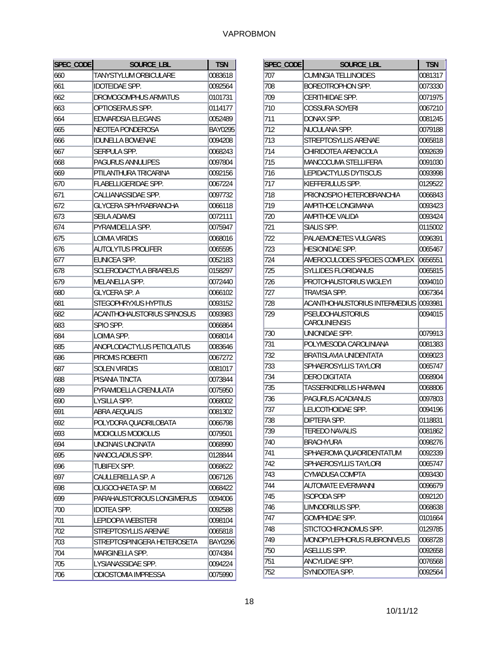| SPEC_CODE | <b>SOURCE LBL</b>           | <b>TSN</b>     |
|-----------|-----------------------------|----------------|
| 660       | TANYSTYLUM ORBICULARE       | 0083618        |
| 661       | <b>IDOTEIDAE SPP.</b>       | 0092564        |
| 662       | DROMOGOMPHUS ARMATUS        | 0101731        |
| 663       | OPTIOSERVUS SPP.            | 0114177        |
| 664       | EDWARDSIA ELEGANS           | 0052489        |
| 665       | <b>NEOTEA PONDEROSA</b>     | BAY0295        |
| 666       | <b>IDUNELLA BOWENAE</b>     | 0094208        |
| 667       | SERPULA SPP.                | 0068243        |
| 668       | <b>PAGURUS ANNULIPES</b>    | 0097804        |
| 669       | PTILANTHURA TRICARINA       | 0092156        |
| 670       | FLABELLIGERIDAE SPP.        | 0067224        |
| 671       | CALLIANASSIDAE SPP.         | 0097732        |
| 672       | GLYCERA SPHYRABRANCHA       | 0066118        |
| 673       | SEILA ADAMSI                | 0072111        |
| 674       | PYRAMIDELLA SPP.            | 0075947        |
| 675       | <b>LOIMIA VIRIDIS</b>       | 0068016        |
| 676       | <b>AUTOLYTUS PROLIFER</b>   | 0065595        |
| 677       | EUNICEA SPP.                | 0052183        |
| 678       | SCLERODACTYLA BRIAREUS      | 0158297        |
| 679       | MELANELLA SPP.              | 0072440        |
| 680       | <b>GLYCERA SP. A</b>        | 0066102        |
| 681       | STEGOPHRYXUS HYPTIUS        | 0093152        |
| 682       | ACANTHOHAUSTORIUS SPINOSUS  | 0093983        |
| 683       | SPIO SPP.                   | 0066864        |
| 684       | LOIMIA SPP.                 | 0068014        |
| 685       | ANOPLODACTYLUS PETIOLATUS   | 0083646        |
| 686       | PIROMIS ROBERTI             | 0067272        |
| 687       | SOLEN VIRIDIS               | 0081017        |
| 688       | PISANIA TINCTA              | 0073844        |
| 689       | PYRAMIDELLA CRENULATA       | 0075950        |
| 690       | LYSILLA SPP.                | 0068002        |
| 691       | ABRA AEQUALIS               | 0081302        |
| 692       | POLYDORA QUADRILOBATA       | 0066798        |
| 693       | MODIOLUS MODIOLUS           | 0079501        |
| 694       | UNCINAIS UNCINATA           | 0068990        |
| 695       | NANOCLADIUS SPP.            | 0128844        |
| 696       | TUBIFEX SPP.                | 0068622        |
| 697       | CAULLERIELLA SP. A          | 0067126        |
| 698       | OLIGOCHAETA SP. M           | 0068422        |
| 699       | PARAHAUSTORIOUS LONGIMERUS  | 0094006        |
| 700       | <b>IDOTEA SPP.</b>          | 0092588        |
| 701       | LEPIDOPA WEBSTERI           | 0098104        |
| 702       | STREPTOSYLLIS ARENAE        | 0065818        |
| 703       | STREPTOSPINIGERA HETEROSETA | <b>BAY0296</b> |
| 704       | MARGINELLA SPP.             | 0074384        |
| 705       | LYSIANASSIDAE SPP.          | 0094224        |
| 706       | ODIOSTOMIA IMPRESSA         | 0075990        |
|           |                             |                |

| SPEC_CODE | SOURCE LBL                    | <b>TSN</b> |
|-----------|-------------------------------|------------|
| 707       | CUMINGIA TELLINOIDES          | 0081317    |
| 708       | BOREOTROPHON SPP.             | 0073330    |
| 709       | <b>CERITHIIDAE SPP.</b>       | 0071975    |
| 710       | <b>COSSURA SOYERI</b>         | 0067210    |
| 711       | DONAX SPP.                    | 0081245    |
| 712       | NUCULANA SPP.                 | 0079188    |
| 713       | STREPTOSYLLIS ARENAE          | 0065818    |
| 714       | CHIRIDOTEA ARENICOLA          | 0092639    |
| 715       | <b>MANCOCUMA STELLIFERA</b>   | 0091030    |
| 716       | LEPIDACTYLUS DYTISCUS         | 0093998    |
| 717       | KIEFFERULUS SPP.              | 0129522    |
| 718       | PRIONOSPIO HETEROBRANCHIA     | 0066843    |
| 719       | AMPITHOE LONGIMANA            | 0093423    |
| 720       | AMPITHOE VALIDA               | 0093424    |
| 721       | SIALIS SPP.                   | 0115002    |
| 722       | PALAEMONETES VULGARIS         | 0096391    |
| 723       | <b>HESIONIDAE SPP.</b>        | 0065467    |
| 724       | AMEROCULODES SPECIES COMPLEX  | 0656551    |
| 725       | <b>SYLLIDES FLORIDANUS</b>    | 0065815    |
| 726       | PROTOHAUSTORIUS WIGLEYI       | 0094010    |
| 727       | <b>TRAVISIA SPP.</b>          | 0067364    |
| 728       | ACANTHOHAUSTORIUS INTERMEDIUS | 0093981    |
| 729       | <b>PSEUDOHAUSTORIUS</b>       | 0094015    |
|           | <b>CAROLINIENSIS</b>          |            |
| 730       | UNIONIDAE SPP.                | 0079913    |
| 731       | POLYMESODA CAROLINIANA        | 0081383    |
| 732       | BRATISLAVIA UNIDENTATA        | 0069023    |
| 733       | SPHAEROSYLLIS TAYLORI         | 0065747    |
| 734       | <b>DERO DIGITATA</b>          | 0068904    |
| 735       | TASSERKIDRILUS HARMANI        | 0068806    |
| 736       | PAGURUS ACADIANUS             | 0097803    |
| 737       | LEUCOTHOIDAE SPP.             | 0094196    |
| 738       | DIPTERA SPP.                  | 0118831    |
| 739       | <b>TEREDO NAVALIS</b>         | 0081862    |
| 740       | BRACHYURA                     | 0098276    |
| 741       | SPHAEROMA QUADRIDENTATUM      | 0092339    |
| 742       | SPHAEROSYLLIS TAYLORI         | 0065747    |
| 743       | CYMADUSA COMPTA               | 0093430    |
| 744       | <b>AUTOMATE EVERMANNI</b>     | 0096679    |
| 745       | ISOPODA SPP                   | 0092120    |
| 746       | LIMNODRILUS SPP.              | 0068638    |
| 747       | GOMPHIDAE SPP.                | 0101664    |
| 748       | STICTOCHIRONOMUS SPP.         | 0129785    |
| 749       | MONOPYLEPHORUS RUBRONIVEUS    | 0068728    |
| 750       | ASELLUS SPP.                  | 0092658    |
| 751       | ANCYLIDAE SPP.                | 0076568    |
| 752       | SYNIDOTEA SPP.                | 0092564    |
|           |                               |            |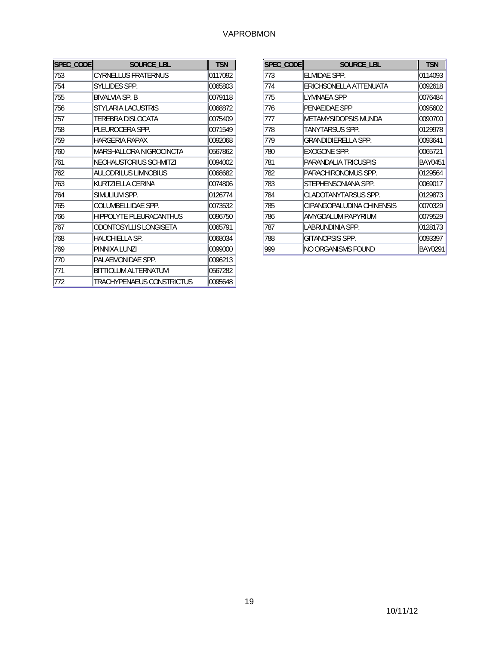| SPEC_CODE | SOURCE LBL                    | <b>TSN</b> |
|-----------|-------------------------------|------------|
| 753       | <b>CYRNELLUS FRATERNUS</b>    | 0117092    |
| 754       | SYLLIDES SPP.                 | 0065803    |
| 755       | <b>BIVALVIA SP. B</b>         | 0079118    |
| 756       | STYLARIA LACUSTRIS            | 0068872    |
| 757       | TEREBRA DISLOCATA             | 0075409    |
| 758       | PLEUROCERA SPP.               | 0071549    |
| 759       | <b>HARGERIA RAPAX</b>         | 0092068    |
| 760       | MARSHALLORA NIGROCINCTA       | 0567862    |
| 761       | <b>NEOHAUSTORIUS SCHMITZI</b> | 0094002    |
| 762       | AULODRILUS LIMNOBIUS          | 0068682    |
| 763       | KURTZIELLA CERINA             | 0074806    |
| 764       | SIMULIUM SPP.                 | 0126774    |
| 765       | COLUMBELLIDAE SPP.            | 0073532    |
| 766       | HIPPOLYTE PLEURACANTHUS       | 0096750    |
| 767       | ODONTOSYLLIS LONGISETA        | 0065791    |
| 768       | HAUCHIELLA SP.                | 0068034    |
| 769       | PINNIXA LUNZI                 | 0099000    |
| 770       | PALAEMONIDAE SPP.             | 0096213    |
| 771       | BITTIOLUM ALTERNATUM          | 0567282    |
| 772       | TRACHYPENAEUS CONSTRICTUS     | 0095648    |

| SPEC_CODE | SOURCE LBL                | <b>TSN</b> |
|-----------|---------------------------|------------|
| 773       | ELMIDAE SPP.              | 0114093    |
| 774       | ERICHSONELLA ATTENUATA    | 0092618    |
| 775       | LYMNAEA SPP               | 0076484    |
| 776       | PENAEIDAE SPP             | 0095602    |
| 777       | METAMYSIDOPSIS MUNDA      | 0090700    |
| 778       | TANYTARSUS SPP.           | 0129978    |
| 779       | GRANDIDIERELLA SPP.       | 0093641    |
| 780       | EXOGONE SPP.              | 0065721    |
| 781       | PARANDALIA TRICUSPIS      | BAY0451    |
| 782       | PARACHIRONOMUS SPP.       | 0129564    |
| 783       | STEPHENSONIANA SPP.       | 0069017    |
| 784       | CLADOTANYTARSUS SPP.      | 0129873    |
| 785       | CIPANGOPALUDINA CHINENSIS | 0070329    |
| 786       | AMYGDALUM PAPYRIUM        | 0079529    |
| 787       | LABRUNDINIA SPP.          | 0128173    |
| 788       | GITANOPSIS SPP.           | 0093397    |
| 999       | NO ORGANISMS FOUND        | BAY0291    |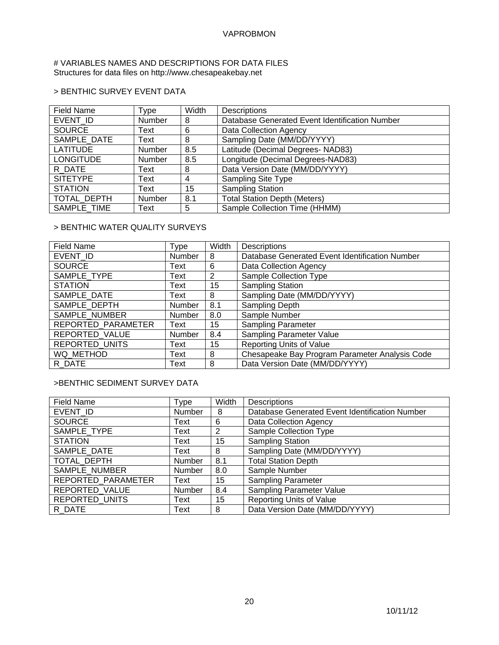# # VARIABLES NAMES AND DESCRIPTIONS FOR DATA FILES Structures for data files on http://www.chesapeakebay.net

# > BENTHIC SURVEY EVENT DATA

| <b>Field Name</b> | Type   | Width | Descriptions                                   |
|-------------------|--------|-------|------------------------------------------------|
| EVENT ID          | Number | 8     | Database Generated Event Identification Number |
| <b>SOURCE</b>     | Text   | 6     | Data Collection Agency                         |
| SAMPLE DATE       | Text   | 8     | Sampling Date (MM/DD/YYYY)                     |
| <b>LATITUDE</b>   | Number | 8.5   | Latitude (Decimal Degrees- NAD83)              |
| <b>LONGITUDE</b>  | Number | 8.5   | Longitude (Decimal Degrees-NAD83)              |
| R DATE            | Text   | 8     | Data Version Date (MM/DD/YYYY)                 |
| <b>SITETYPE</b>   | Text   | 4     | <b>Sampling Site Type</b>                      |
| <b>STATION</b>    | Text   | 15    | <b>Sampling Station</b>                        |
| TOTAL DEPTH       | Number | 8.1   | <b>Total Station Depth (Meters)</b>            |
| SAMPLE TIME       | Text   | 5     | Sample Collection Time (HHMM)                  |

# > BENTHIC WATER QUALITY SURVEYS

| <b>Field Name</b>     | Type   | Width | <b>Descriptions</b>                            |
|-----------------------|--------|-------|------------------------------------------------|
| EVENT ID              | Number | 8     | Database Generated Event Identification Number |
| <b>SOURCE</b>         | Text   | 6     | Data Collection Agency                         |
| SAMPLE TYPE           | Text   | 2     | <b>Sample Collection Type</b>                  |
| <b>STATION</b>        | Text   | 15    | <b>Sampling Station</b>                        |
| SAMPLE DATE           | Text   | 8     | Sampling Date (MM/DD/YYYY)                     |
| SAMPLE DEPTH          | Number | 8.1   | Sampling Depth                                 |
| SAMPLE NUMBER         | Number | 8.0   | Sample Number                                  |
| REPORTED PARAMETER    | Text   | 15    | <b>Sampling Parameter</b>                      |
| REPORTED VALUE        | Number | 8.4   | Sampling Parameter Value                       |
| <b>REPORTED UNITS</b> | Text   | 15    | <b>Reporting Units of Value</b>                |
| WQ METHOD             | Text   | 8     | Chesapeake Bay Program Parameter Analysis Code |
| R DATE                | Text   | 8     | Data Version Date (MM/DD/YYYY)                 |

# >BENTHIC SEDIMENT SURVEY DATA

| Field Name            | Type   | Width | <b>Descriptions</b>                            |
|-----------------------|--------|-------|------------------------------------------------|
| EVENT ID              | Number | 8     | Database Generated Event Identification Number |
| <b>SOURCE</b>         | Text   | 6     | Data Collection Agency                         |
| SAMPLE TYPE           | Text   | 2     | Sample Collection Type                         |
| <b>STATION</b>        | Text   | 15    | <b>Sampling Station</b>                        |
| SAMPLE DATE           | Text   | 8     | Sampling Date (MM/DD/YYYY)                     |
| TOTAL DEPTH           | Number | 8.1   | <b>Total Station Depth</b>                     |
| SAMPLE NUMBER         | Number | 8.0   | Sample Number                                  |
| REPORTED_PARAMETER    | Text   | 15    | <b>Sampling Parameter</b>                      |
| REPORTED VALUE        | Number | 8.4   | <b>Sampling Parameter Value</b>                |
| <b>REPORTED UNITS</b> | Text   | 15    | <b>Reporting Units of Value</b>                |
| R DATE                | Text   | 8     | Data Version Date (MM/DD/YYYY)                 |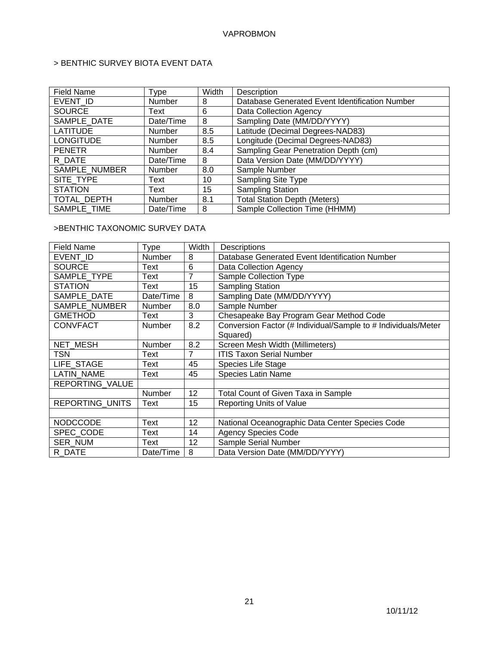# > BENTHIC SURVEY BIOTA EVENT DATA

| <b>Field Name</b>  | <b>Type</b> | Width | Description                                    |
|--------------------|-------------|-------|------------------------------------------------|
| EVENT ID           | Number      | 8     | Database Generated Event Identification Number |
| <b>SOURCE</b>      | Text        | 6     | Data Collection Agency                         |
| SAMPLE DATE        | Date/Time   | 8     | Sampling Date (MM/DD/YYYY)                     |
| <b>LATITUDE</b>    | Number      | 8.5   | Latitude (Decimal Degrees-NAD83)               |
| <b>LONGITUDE</b>   | Number      | 8.5   | Longitude (Decimal Degrees-NAD83)              |
| <b>PENETR</b>      | Number      | 8.4   | Sampling Gear Penetration Depth (cm)           |
| R DATE             | Date/Time   | 8     | Data Version Date (MM/DD/YYYY)                 |
| SAMPLE_NUMBER      | Number      | 8.0   | Sample Number                                  |
| SITE TYPE          | Text        | 10    | Sampling Site Type                             |
| <b>STATION</b>     | Text        | 15    | <b>Sampling Station</b>                        |
| <b>TOTAL DEPTH</b> | Number      | 8.1   | <b>Total Station Depth (Meters)</b>            |
| SAMPLE TIME        | Date/Time   | 8     | Sample Collection Time (HHMM)                  |

# >BENTHIC TAXONOMIC SURVEY DATA

| <b>Field Name</b> | <b>Type</b>   | Width          | Descriptions                                                  |
|-------------------|---------------|----------------|---------------------------------------------------------------|
| EVENT ID          | Number        | 8              | Database Generated Event Identification Number                |
| <b>SOURCE</b>     | Text          | 6              | Data Collection Agency                                        |
| SAMPLE TYPE       | Text          | 7              | <b>Sample Collection Type</b>                                 |
| <b>STATION</b>    | Text          | 15             | <b>Sampling Station</b>                                       |
| SAMPLE DATE       | Date/Time     | 8              | Sampling Date (MM/DD/YYYY)                                    |
| SAMPLE NUMBER     | <b>Number</b> | 8.0            | Sample Number                                                 |
| <b>GMETHOD</b>    | Text          | 3              | Chesapeake Bay Program Gear Method Code                       |
| <b>CONVFACT</b>   | <b>Number</b> | 8.2            | Conversion Factor (# Individual/Sample to # Individuals/Meter |
|                   |               |                | Squared)                                                      |
| NET MESH          | Number        | 8.2            | Screen Mesh Width (Millimeters)                               |
| TSN               | Text          | $\overline{7}$ | <b>ITIS Taxon Serial Number</b>                               |
| LIFE STAGE        | Text          | 45             | Species Life Stage                                            |
| <b>LATIN NAME</b> | Text          | 45             | <b>Species Latin Name</b>                                     |
| REPORTING_VALUE   |               |                |                                                               |
|                   | Number        | 12             | Total Count of Given Taxa in Sample                           |
| REPORTING_UNITS   | Text          | 15             | Reporting Units of Value                                      |
|                   |               |                |                                                               |
| <b>NODCCODE</b>   | Text          | 12             | National Oceanographic Data Center Species Code               |
| SPEC CODE         | Text          | 14             | <b>Agency Species Code</b>                                    |
| <b>SER NUM</b>    | Text          | 12             | Sample Serial Number                                          |
| R DATE            | Date/Time     | 8              | Data Version Date (MM/DD/YYYY)                                |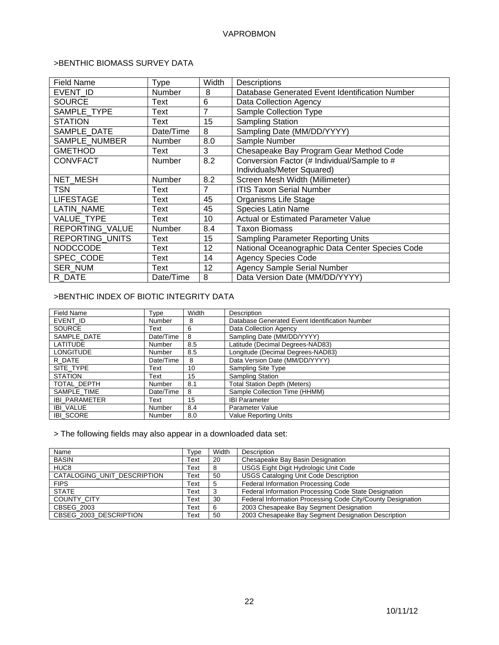# >BENTHIC BIOMASS SURVEY DATA

| <b>Field Name</b> | Type          | Width | Descriptions                                    |
|-------------------|---------------|-------|-------------------------------------------------|
| EVENT ID          | Number        | 8     | Database Generated Event Identification Number  |
| <b>SOURCE</b>     | Text          | 6     | Data Collection Agency                          |
| SAMPLE TYPE       | Text          | 7     | Sample Collection Type                          |
| <b>STATION</b>    | Text          | 15    | <b>Sampling Station</b>                         |
| SAMPLE DATE       | Date/Time     | 8     | Sampling Date (MM/DD/YYYY)                      |
| SAMPLE NUMBER     | <b>Number</b> | 8.0   | Sample Number                                   |
| <b>GMETHOD</b>    | Text          | 3     | Chesapeake Bay Program Gear Method Code         |
| <b>CONVFACT</b>   | <b>Number</b> | 8.2   | Conversion Factor (# Individual/Sample to #     |
|                   |               |       | Individuals/Meter Squared)                      |
| <b>NET MESH</b>   | <b>Number</b> | 8.2   | Screen Mesh Width (Millimeter)                  |
| TSN               | Text          | 7     | <b>ITIS Taxon Serial Number</b>                 |
| <b>LIFESTAGE</b>  | Text          | 45    | Organisms Life Stage                            |
| <b>LATIN NAME</b> | Text          | 45    | <b>Species Latin Name</b>                       |
| <b>VALUE TYPE</b> | Text          | 10    | <b>Actual or Estimated Parameter Value</b>      |
| REPORTING_VALUE   | <b>Number</b> | 8.4   | Taxon Biomass                                   |
| REPORTING_UNITS   | Text          | 15    | Sampling Parameter Reporting Units              |
| <b>NODCCODE</b>   | Text          | 12    | National Oceanographic Data Center Species Code |
| SPEC CODE         | Text          | 14    | <b>Agency Species Code</b>                      |
| <b>SER NUM</b>    | Text          | 12    | <b>Agency Sample Serial Number</b>              |
| R DATE            | Date/Time     | 8     | Data Version Date (MM/DD/YYYY)                  |

# >BENTHIC INDEX OF BIOTIC INTEGRITY DATA

| <b>Field Name</b>    | Type          | Width | Description                                    |
|----------------------|---------------|-------|------------------------------------------------|
| EVENT ID             | Number        | 8     | Database Generated Event Identification Number |
| <b>SOURCE</b>        | Text          | 6     | Data Collection Agency                         |
| SAMPLE DATE          | Date/Time     | 8     | Sampling Date (MM/DD/YYYY)                     |
| <b>LATITUDE</b>      | Number        | 8.5   | Latitude (Decimal Degrees-NAD83)               |
| <b>LONGITUDE</b>     | <b>Number</b> | 8.5   | Longitude (Decimal Degrees-NAD83)              |
| R DATE               | Date/Time     | 8     | Data Version Date (MM/DD/YYYY)                 |
| SITE TYPE            | Text          | 10    | Sampling Site Type                             |
| <b>STATION</b>       | Text          | 15    | <b>Sampling Station</b>                        |
| TOTAL DEPTH          | <b>Number</b> | 8.1   | <b>Total Station Depth (Meters)</b>            |
| SAMPLE TIME          | Date/Time     | 8     | Sample Collection Time (HHMM)                  |
| <b>IBI PARAMETER</b> | Text          | 15    | <b>IBI Parameter</b>                           |
| <b>IBI VALUE</b>     | Number        | 8.4   | <b>Parameter Value</b>                         |
| <b>IBI SCORE</b>     | Number        | 8.0   | <b>Value Reporting Units</b>                   |

> The following fields may also appear in a downloaded data set:

| Name                        | Type | Width | Description                                                 |
|-----------------------------|------|-------|-------------------------------------------------------------|
| <b>BASIN</b>                | Text | 20    | Chesapeake Bay Basin Designation                            |
| HUC <sub>8</sub>            | Text | 8     | USGS Eight Digit Hydrologic Unit Code                       |
| CATALOGING_UNIT_DESCRIPTION | Text | 50    | <b>USGS Cataloging Unit Code Description</b>                |
| <b>FIPS</b>                 | Text | 5     | Federal Information Processing Code                         |
| <b>STATE</b>                | Text |       | Federal Information Processing Code State Designation       |
| <b>COUNTY CITY</b>          | Text | 30    | Federal Information Processing Code City/County Designation |
| CBSEG 2003                  | Text |       | 2003 Chesapeake Bay Segment Designation                     |
| CBSEG 2003 DESCRIPTION      | Text | 50    | 2003 Chesapeake Bay Segment Designation Description         |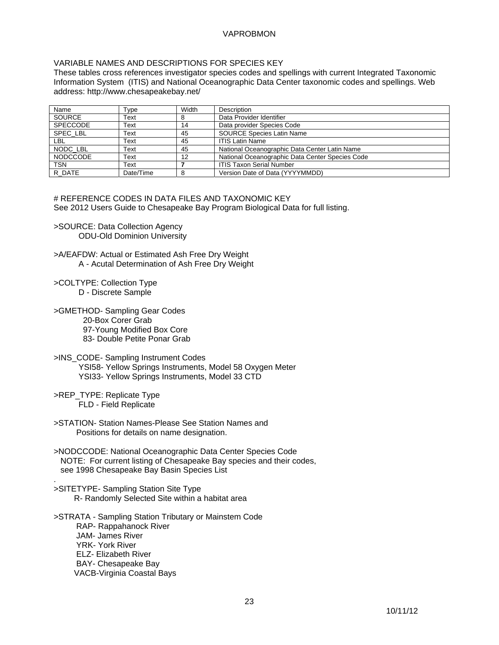# VARIABLE NAMES AND DESCRIPTIONS FOR SPECIES KEY

These tables cross references investigator species codes and spellings with current Integrated Taxonomic Information System (ITIS) and National Oceanographic Data Center taxonomic codes and spellings. Web address: http://www.chesapeakebay.net/

| Name            | Type      | Width | Description                                     |
|-----------------|-----------|-------|-------------------------------------------------|
| <b>SOURCE</b>   | Text      |       | Data Provider Identifier                        |
| <b>SPECCODE</b> | Text      | 14    | Data provider Species Code                      |
| SPEC LBL        | Text      | 45    | <b>SOURCE Species Latin Name</b>                |
| LBL             | Text      | 45    | <b>ITIS Latin Name</b>                          |
| NODC LBL        | Text      | 45    | National Oceanographic Data Center Latin Name   |
| <b>NODCCODE</b> | Text      | 12    | National Oceanographic Data Center Species Code |
| <b>TSN</b>      | Text      |       | <b>ITIS Taxon Serial Number</b>                 |
| R DATE          | Date/Time |       | Version Date of Data (YYYYMMDD)                 |

# REFERENCE CODES IN DATA FILES AND TAXONOMIC KEY See 2012 Users Guide to Chesapeake Bay Program Biological Data for full listing.

- >SOURCE: Data Collection Agency ODU-Old Dominion University
- >A/EAFDW: Actual or Estimated Ash Free Dry Weight A - Acutal Determination of Ash Free Dry Weight
- >COLTYPE: Collection Type D - Discrete Sample
- >GMETHOD- Sampling Gear Codes
	- 20-Box Corer Grab 97-Young Modified Box Core
		- 83- Double Petite Ponar Grab
- >INS\_CODE- Sampling Instrument Codes
	- YSI58- Yellow Springs Instruments, Model 58 Oxygen Meter YSI33- Yellow Springs Instruments, Model 33 CTD
- >REP\_TYPE: Replicate Type FLD - Field Replicate
- >STATION- Station Names-Please See Station Names and Positions for details on name designation.
- >NODCCODE: National Oceanographic Data Center Species Code NOTE: For current listing of Chesapeake Bay species and their codes, see 1998 Chesapeake Bay Basin Species List
- . >SITETYPE- Sampling Station Site Type R- Randomly Selected Site within a habitat area
- >STRATA Sampling Station Tributary or Mainstem Code RAP- Rappahanock River JAM- James River YRK- York River ELZ- Elizabeth River BAY- Chesapeake Bay
	- VACB-Virginia Coastal Bays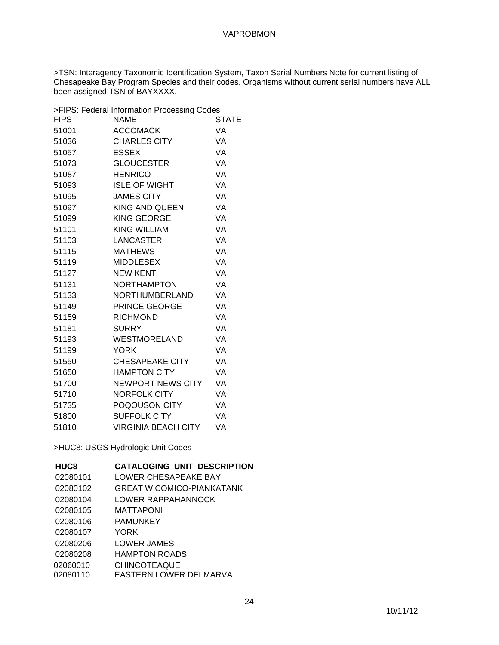>TSN: Interagency Taxonomic Identification System, Taxon Serial Numbers Note for current listing of Chesapeake Bay Program Species and their codes. Organisms without current serial numbers have ALL been assigned TSN of BAYXXXX.

|             | >FIPS: Federal Information Processing Codes |              |
|-------------|---------------------------------------------|--------------|
| <b>FIPS</b> | <b>NAME</b>                                 | <b>STATE</b> |
| 51001       | <b>ACCOMACK</b>                             | VA           |
| 51036       | <b>CHARLES CITY</b>                         | VA           |
| 51057       | <b>ESSEX</b>                                | <b>VA</b>    |
| 51073       | <b>GLOUCESTER</b>                           | <b>VA</b>    |
| 51087       | <b>HENRICO</b>                              | VA           |
| 51093       | <b>ISLE OF WIGHT</b>                        | VA           |
| 51095       | <b>JAMES CITY</b>                           | <b>VA</b>    |
| 51097       | KING AND QUEEN                              | VA           |
| 51099       | <b>KING GEORGE</b>                          | VA           |
| 51101       | <b>KING WILLIAM</b>                         | VA           |
| 51103       | LANCASTER                                   | VA           |
| 51115       | <b>MATHEWS</b>                              | VA           |
| 51119       | MIDDLESEX                                   | <b>VA</b>    |
| 51127       | <b>NEW KENT</b>                             | <b>VA</b>    |
| 51131       | <b>NORTHAMPTON</b>                          | VA           |
| 51133       | NORTHUMBERLAND                              | <b>VA</b>    |
| 51149       | <b>PRINCE GEORGE</b>                        | VA           |
| 51159       | <b>RICHMOND</b>                             | VA           |
| 51181       | <b>SURRY</b>                                | <b>VA</b>    |
| 51193       | WESTMORELAND                                | <b>VA</b>    |
| 51199       | <b>YORK</b>                                 | VA           |
| 51550       | CHESAPEAKE CITY                             | VA           |
| 51650       | HAMPTON CITY                                | <b>VA</b>    |
| 51700       | NEWPORT NEWS CITY                           | VA           |
| 51710       | <b>NORFOLK CITY</b>                         | VA           |
| 51735       | POQOUSON CITY                               | VA           |
| 51800       | <b>SUFFOLK CITY</b>                         | VA           |
| 51810       | <b>VIRGINIA BEACH CITY</b>                  | VA           |

>HUC8: USGS Hydrologic Unit Codes

| HUC <sub>8</sub> | <b>CATALOGING UNIT DESCRIPTION</b> |
|------------------|------------------------------------|
| 02080101         | LOWER CHESAPEAKE BAY               |
| 02080102         | <b>GREAT WICOMICO-PIANKATANK</b>   |
| 02080104         | LOWER RAPPAHANNOCK                 |
| 02080105         | MATTAPONI                          |
| 02080106         | <b>PAMUNKEY</b>                    |
| 02080107         | YORK                               |
| 02080206         | LOWER JAMES                        |
| 02080208         | <b>HAMPTON ROADS</b>               |
| 02060010         | <b>CHINCOTEAQUE</b>                |
| 02080110         | EASTERN LOWER DELMARVA             |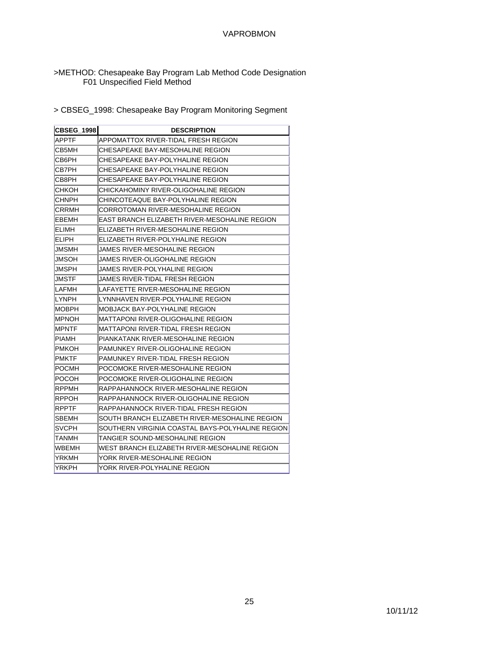### >METHOD: Chesapeake Bay Program Lab Method Code Designation F01 Unspecified Field Method

> CBSEG\_1998: Chesapeake Bay Program Monitoring Segment

| <b>CBSEG 1998</b> | <b>DESCRIPTION</b>                               |
|-------------------|--------------------------------------------------|
| APPTF             | APPOMATTOX RIVER-TIDAL FRESH REGION              |
| CB5MH             | CHESAPEAKE BAY-MESOHALINE REGION                 |
| CB6PH             | CHESAPEAKE BAY-POLYHALINE REGION                 |
| CB7PH             | CHESAPEAKE BAY-POLYHALINE REGION                 |
| CB8PH             | CHESAPEAKE BAY-POLYHALINE REGION                 |
| снкон             | CHICKAHOMINY RIVER-OLIGOHALINE REGION            |
| CHNPH             | CHINCOTEAQUE BAY-POLYHALINE REGION               |
| CRRMH             | CORROTOMAN RIVER-MESOHALINE REGION               |
| EBEMH             | EAST BRANCH ELIZABETH RIVER-MESOHALINE REGION    |
| ELIMH             | ELIZABETH RIVER-MESOHALINE REGION                |
| ELIPH             | ELIZABETH RIVER-POLYHALINE REGION                |
| JMSMH             | JAMES RIVER-MESOHALINE REGION                    |
| JMSOH             | JAMES RIVER-OLIGOHALINE REGION                   |
| JMSPH             | JAMES RIVER-POLYHALINE REGION                    |
| JMSTF             | JAMES RIVER-TIDAL FRESH REGION                   |
| LAFMH             | LAFAYETTE RIVER-MESOHALINE REGION                |
| LYNPH             | LYNNHAVEN RIVER-POLYHALINE REGION                |
| <b>MOBPH</b>      | MOBJACK BAY-POLYHALINE REGION                    |
| MPNOH             | MATTAPONI RIVER-OLIGOHALINE REGION               |
| MPNTF             | MATTAPONI RIVER-TIDAL FRESH REGION               |
| PIAMH             | PIANKATANK RIVER-MESOHALINE REGION               |
| PMKOH             | PAMUNKEY RIVER-OLIGOHALINE REGION                |
| PMKTF             | PAMUNKEY RIVER-TIDAL FRESH REGION                |
| POCMH             | POCOMOKE RIVER-MESOHALINE REGION                 |
| POCOH             | POCOMOKE RIVER-OLIGOHALINE REGION                |
| RPPMH             | RAPPAHANNOCK RIVER-MESOHALINE REGION             |
| RPPOH             | RAPPAHANNOCK RIVER-OLIGOHALINE REGION            |
| RPPTF             | RAPPAHANNOCK RIVER-TIDAL FRESH REGION            |
| SBEMH             | SOUTH BRANCH ELIZABETH RIVER-MESOHALINE REGION   |
| SVCPH             | SOUTHERN VIRGINIA COASTAL BAYS-POLYHALINE REGION |
| TANMH             | TANGIER SOUND-MESOHALINE REGION                  |
| WBEMH             | WEST BRANCH ELIZABETH RIVER-MESOHALINE REGION    |
| YRKMH             | YORK RIVER-MESOHALINE REGION                     |
| YRKPH             | YORK RIVER-POLYHALINE REGION                     |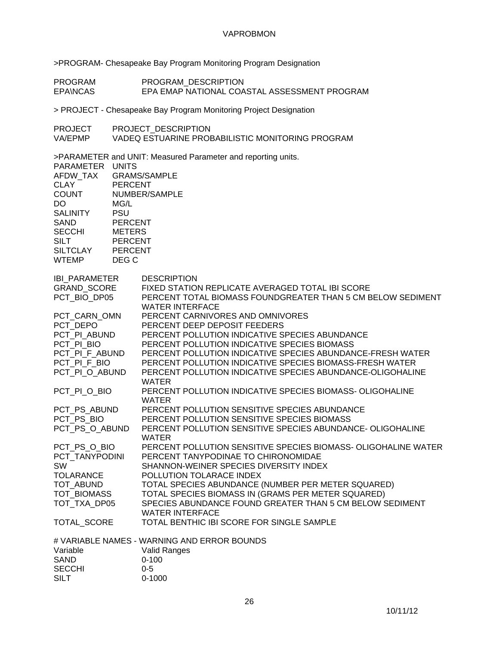>PROGRAM- Chesapeake Bay Program Monitoring Program Designation

PROGRAM PROGRAM\_DESCRIPTION<br>EPA\NCAS EPA EMAP NATIONAL COA EPA EMAP NATIONAL COASTAL ASSESSMENT PROGRAM

> PROJECT - Chesapeake Bay Program Monitoring Project Designation

PROJECT PROJECT\_DESCRIPTION<br>VA/EPMP VADEQ ESTUARINE PROE

VADEQ ESTUARINE PROBABILISTIC MONITORING PROGRAM

>PARAMETER and UNIT: Measured Parameter and reporting units.

| PARAMETER UNITS<br>AFDW_TAX<br><b>CLAY</b><br><b>COUNT</b><br>DO.<br><b>SALINITY</b><br><b>SAND</b><br><b>SECCHI</b><br><b>SILT</b><br><b>SILTCLAY</b><br><b>WTEMP</b> | <b>PERCENT</b><br>MG/L<br><b>PSU</b><br><b>PERCENT</b><br><b>METERS</b><br><b>PERCENT</b><br><b>PERCENT</b><br>DEG C | <b>GRAMS/SAMPLE</b><br>NUMBER/SAMPLE                                                                                                                                                                                                                                                                                                                                          |
|------------------------------------------------------------------------------------------------------------------------------------------------------------------------|----------------------------------------------------------------------------------------------------------------------|-------------------------------------------------------------------------------------------------------------------------------------------------------------------------------------------------------------------------------------------------------------------------------------------------------------------------------------------------------------------------------|
| IBI_PARAMETER<br>GRAND_SCORE<br>PCT BIO DP05                                                                                                                           |                                                                                                                      | <b>DESCRIPTION</b><br>FIXED STATION REPLICATE AVERAGED TOTAL IBI SCORE<br>PERCENT TOTAL BIOMASS FOUNDGREATER THAN 5 CM BELOW SEDIMENT<br><b>WATER INTERFACE</b>                                                                                                                                                                                                               |
| PCT CARN OMN<br>PCT DEPO<br>PCT PI ABUND<br>PCT_PI_BIO<br>PCT_PI_F_ABUND<br>PCT_PI_F_BIO                                                                               |                                                                                                                      | PERCENT CARNIVORES AND OMNIVORES<br>PERCENT DEEP DEPOSIT FEEDERS<br>PERCENT POLLUTION INDICATIVE SPECIES ABUNDANCE<br>PERCENT POLLUTION INDICATIVE SPECIES BIOMASS<br>PERCENT POLLUTION INDICATIVE SPECIES ABUNDANCE-FRESH WATER<br>PERCENT POLLUTION INDICATIVE SPECIES BIOMASS-FRESH WATER                                                                                  |
| PCT_PI_O_ABUND<br>PCT_PI_O_BIO                                                                                                                                         |                                                                                                                      | PERCENT POLLUTION INDICATIVE SPECIES ABUNDANCE-OLIGOHALINE<br>WATER<br>PERCENT POLLUTION INDICATIVE SPECIES BIOMASS- OLIGOHALINE<br><b>WATER</b>                                                                                                                                                                                                                              |
| PCT_PS_ABUND<br>PCT PS BIO<br>PCT PS O ABUND                                                                                                                           |                                                                                                                      | PERCENT POLLUTION SENSITIVE SPECIES ABUNDANCE<br>PERCENT POLLUTION SENSITIVE SPECIES BIOMASS<br>PERCENT POLLUTION SENSITIVE SPECIES ABUNDANCE- OLIGOHALINE<br><b>WATER</b>                                                                                                                                                                                                    |
| PCT PS O BIO<br>PCT TANYPODINI<br>SW<br><b>TOLARANCE</b><br>TOT_ABUND<br>TOT BIOMASS<br>TOT_TXA_DP05                                                                   |                                                                                                                      | PERCENT POLLUTION SENSITIVE SPECIES BIOMASS- OLIGOHALINE WATER<br>PERCENT TANYPODINAE TO CHIRONOMIDAE<br>SHANNON-WEINER SPECIES DIVERSITY INDEX<br>POLLUTION TOLARACE INDEX<br>TOTAL SPECIES ABUNDANCE (NUMBER PER METER SQUARED)<br>TOTAL SPECIES BIOMASS IN (GRAMS PER METER SQUARED)<br>SPECIES ABUNDANCE FOUND GREATER THAN 5 CM BELOW SEDIMENT<br><b>WATER INTERFACE</b> |
| TOTAL_SCORE                                                                                                                                                            |                                                                                                                      | TOTAL BENTHIC IBI SCORE FOR SINGLE SAMPLE                                                                                                                                                                                                                                                                                                                                     |
| Variable<br><b>SAND</b><br><b>SECCHI</b><br><b>SILT</b>                                                                                                                |                                                                                                                      | # VARIABLE NAMES - WARNING AND ERROR BOUNDS<br>Valid Ranges<br>$0 - 100$<br>$0 - 5$<br>$0 - 1000$                                                                                                                                                                                                                                                                             |